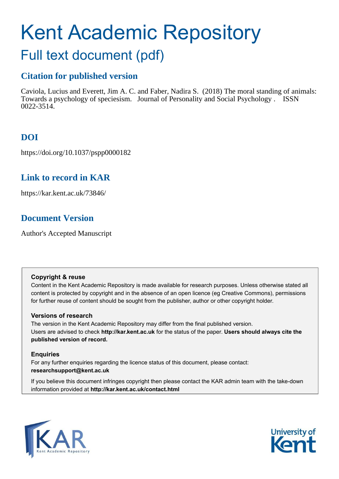# Kent Academic Repository

## Full text document (pdf)

## **Citation for published version**

Caviola, Lucius and Everett, Jim A. C. and Faber, Nadira S. (2018) The moral standing of animals: Towards a psychology of speciesism. Journal of Personality and Social Psychology . ISSN 0022-3514.

## **DOI**

https://doi.org/10.1037/pspp0000182

## **Link to record in KAR**

https://kar.kent.ac.uk/73846/

## **Document Version**

Author's Accepted Manuscript

#### **Copyright & reuse**

Content in the Kent Academic Repository is made available for research purposes. Unless otherwise stated all content is protected by copyright and in the absence of an open licence (eg Creative Commons), permissions for further reuse of content should be sought from the publisher, author or other copyright holder.

#### **Versions of research**

The version in the Kent Academic Repository may differ from the final published version. Users are advised to check **http://kar.kent.ac.uk** for the status of the paper. **Users should always cite the published version of record.**

#### **Enquiries**

For any further enquiries regarding the licence status of this document, please contact: **researchsupport@kent.ac.uk**

If you believe this document infringes copyright then please contact the KAR admin team with the take-down information provided at **http://kar.kent.ac.uk/contact.html**



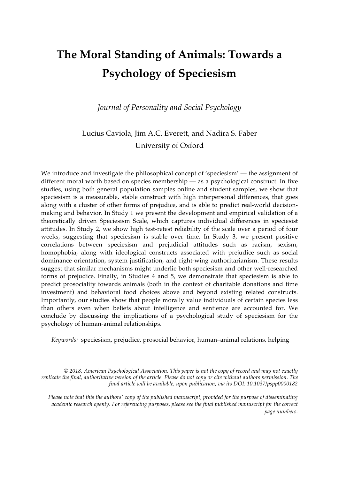# **The Moral Standing of Animals: Towards a Psychology of Speciesism**

*Journal of Personality and Social Psychology*

## Lucius Caviola, Jim A.C. Everett, and Nadira S. Faber University of Oxford

We introduce and investigate the philosophical concept of 'speciesism' — the assignment of different moral worth based on species membership — as a psychological construct. In five studies, using both general population samples online and student samples, we show that speciesism is a measurable, stable construct with high interpersonal differences, that goes along with a cluster of other forms of prejudice, and is able to predict real-world decisionmaking and behavior. In Study 1 we present the development and empirical validation of a theoretically driven Speciesism Scale, which captures individual differences in speciesist attitudes. In Study 2, we show high test-retest reliability of the scale over a period of four weeks, suggesting that speciesism is stable over time. In Study 3, we present positive correlations between speciesism and prejudicial attitudes such as racism, sexism, homophobia, along with ideological constructs associated with prejudice such as social dominance orientation, system justification, and right-wing authoritarianism. These results suggest that similar mechanisms might underlie both speciesism and other well-researched forms of prejudice. Finally, in Studies 4 and 5, we demonstrate that speciesism is able to predict prosociality towards animals (both in the context of charitable donations and time investment) and behavioral food choices above and beyond existing related constructs. Importantly, our studies show that people morally value individuals of certain species less than others even when beliefs about intelligence and sentience are accounted for. We conclude by discussing the implications of a psychological study of speciesism for the psychology of human-animal relationships.

*Keywords:* speciesism, prejudice, prosocial behavior, human–animal relations, helping

*© 2018, American Psychological Association. This paper is not the copy of record and may not exactly replicate the final, authoritative version of the article. Please do not copy or cite without authors permission. The final article will be available, upon publication, via its DOI: 10.1037/pspp0000182*

*Please note that this the authors' copy of the published manuscript, provided for the purpose of disseminating academic research openly. For referencing purposes, please see the final published manuscript for the correct page numbers.*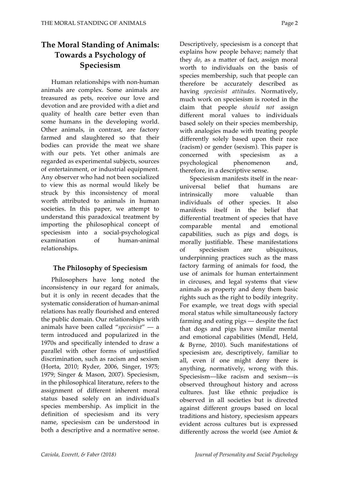### **The Moral Standing of Animals: Towards a Psychology of Speciesism**

Human relationships with non-human animals are complex. Some animals are treasured as pets, receive our love and devotion and are provided with a diet and quality of health care better even than some humans in the developing world. Other animals, in contrast, are factory farmed and slaughtered so that their bodies can provide the meat we share with our pets. Yet other animals are regarded as experimental subjects, sources of entertainment, or industrial equipment. Any observer who had not been socialized to view this as normal would likely be struck by this inconsistency of moral worth attributed to animals in human societies. In this paper, we attempt to understand this paradoxical treatment by importing the philosophical concept of speciesism into a social-psychological examination of human-animal relationships.

#### **The Philosophy of Speciesism**

Philosophers have long noted the inconsistency in our regard for animals, but it is only in recent decades that the systematic consideration of human-animal relations has really flourished and entered the public domain. Our relationships with animals have been called "*speciesist*" — a term introduced and popularized in the 1970s and specifically intended to draw a parallel with other forms of unjustified discrimination, such as racism and sexism (Horta, 2010; Ryder, 2006, Singer, 1975; 1979; Singer & Mason, 2007). Speciesism, in the philosophical literature, refers to the assignment of different inherent moral status based solely on an individual's species membership. As implicit in the definition of speciesism and its very name, speciesism can be understood in both a descriptive and a normative sense.

Descriptively, speciesism is a concept that explains how people behave; namely that they *do*, as a matter of fact, assign moral worth to individuals on the basis of species membership, such that people can therefore be accurately described as having *speciesist attitudes*. Normatively, much work on speciesism is rooted in the claim that people *should not* assign different moral values to individuals based solely on their species membership, with analogies made with treating people differently solely based upon their race (racism) or gender (sexism). This paper is concerned with speciesism as a psychological phenomenon and, therefore, in a descriptive sense.

Speciesism manifests itself in the nearuniversal belief that humans are intrinsically more valuable than individuals of other species. It also manifests itself in the belief that differential treatment of species that have comparable mental and emotional capabilities, such as pigs and dogs, is morally justifiable. These manifestations of speciesism are ubiquitous, underpinning practices such as the mass factory farming of animals for food, the use of animals for human entertainment in circuses, and legal systems that view animals as property and deny them basic rights such as the right to bodily integrity. For example, we treat dogs with special moral status while simultaneously factory farming and eating pigs — despite the fact that dogs and pigs have similar mental and emotional capabilities (Mendl, Held, & Byrne, 2010). Such manifestations of speciesism are, descriptively, familiar to all, even if one might deny there is anything, normatively, wrong with this. Speciesism—like racism and sexism—is observed throughout history and across cultures. Just like ethnic prejudice is observed in all societies but is directed against different groups based on local traditions and history, speciesism appears evident across cultures but is expressed differently across the world (see Amiot &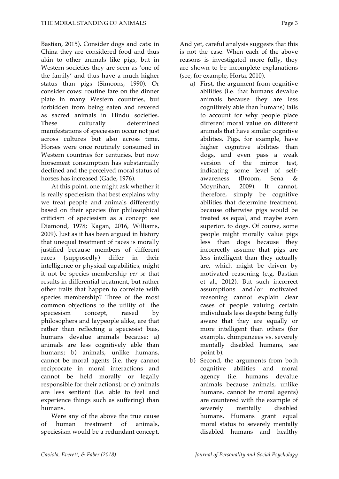Bastian, 2015). Consider dogs and cats: in China they are considered food and thus akin to other animals like pigs, but in Western societies they are seen as 'one of the family' and thus have a much higher status than pigs (Simoons, 1990). Or consider cows: routine fare on the dinner plate in many Western countries, but forbidden from being eaten and revered as sacred animals in Hindu societies. These culturally determined manifestations of speciesism occur not just across cultures but also across time. Horses were once routinely consumed in Western countries for centuries, but now horsemeat consumption has substantially declined and the perceived moral status of horses has increased (Gade, 1976).

At this point, one might ask whether it is really speciesism that best explains why we treat people and animals differently based on their species (for philosophical criticism of speciesism as a concept see Diamond, 1978; Kagan, 2016, Williams, 2009). Just as it has been argued in history that unequal treatment of races is morally justified because members of different races (supposedly) differ in their intelligence or physical capabilities, might it not be species membership *per se* that results in differential treatment, but rather other traits that happen to correlate with species membership? Three of the most common objections to the utility of the speciesism concept, raised by philosophers and laypeople alike, are that rather than reflecting a speciesist bias, humans devalue animals because: a) animals are less cognitively able than humans; b) animals, unlike humans, cannot be moral agents (i.e. they cannot reciprocate in moral interactions and cannot be held morally or legally responsible for their actions); or c) animals are less sentient (i.e. able to feel and experience things such as suffering) than humans.

Were any of the above the true cause of human treatment of animals, speciesism would be a redundant concept. And yet, careful analysis suggests that this is not the case. When each of the above reasons is investigated more fully, they are shown to be incomplete explanations (see, for example, Horta, 2010).

- a) First, the argument from cognitive abilities (i.e. that humans devalue animals because they are less cognitively able than humans) fails to account for why people place different moral value on different animals that have similar cognitive abilities. Pigs, for example, have higher cognitive abilities than dogs, and even pass a weak version of the mirror test, indicating some level of selfawareness (Broom, Sena & Moynihan, 2009). It cannot, therefore, simply be cognitive abilities that determine treatment, because otherwise pigs would be treated as equal, and maybe even superior, to dogs. Of course, some people might morally value pigs less than dogs because they incorrectly assume that pigs are less intelligent than they actually are, which might be driven by motivated reasoning (e.g. Bastian et al., 2012). But such incorrect assumptions and/or motivated reasoning cannot explain clear cases of people valuing certain individuals less despite being fully aware that they are equally or more intelligent than others (for example, chimpanzees vs. severely mentally disabled humans, see point b).
- b) Second, the arguments from both cognitive abilities and moral agency (i.e. humans devalue animals because animals, unlike humans, cannot be moral agents) are countered with the example of severely mentally disabled humans. Humans grant equal moral status to severely mentally disabled humans and healthy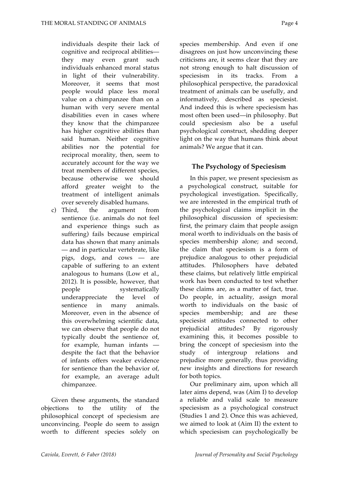individuals despite their lack of cognitive and reciprocal abilities they may even grant such individuals enhanced moral status in light of their vulnerability. Moreover, it seems that most people would place less moral value on a chimpanzee than on a human with very severe mental disabilities even in cases where they know that the chimpanzee has higher cognitive abilities than said human. Neither cognitive abilities nor the potential for reciprocal morality, then, seem to accurately account for the way we treat members of different species, because otherwise we should afford greater weight to the treatment of intelligent animals over severely disabled humans.

c) Third, the argument from sentience (i.e. animals do not feel and experience things such as suffering) fails because empirical data has shown that many animals — and in particular vertebrate, like pigs, dogs, and cows — are capable of suffering to an extent analogous to humans (Low et al., 2012). It is possible, however, that people systematically underappreciate the level of sentience in many animals. Moreover, even in the absence of this overwhelming scientific data, we can observe that people do not typically doubt the sentience of, for example, human infants despite the fact that the behavior of infants offers weaker evidence for sentience than the behavior of, for example, an average adult chimpanzee.

Given these arguments, the standard objections to the utility of the philosophical concept of speciesism are unconvincing. People do seem to assign worth to different species solely on

species membership. And even if one disagrees on just how unconvincing these criticisms are, it seems clear that they are not strong enough to halt discussion of speciesism in its tracks. From a philosophical perspective, the paradoxical treatment of animals can be usefully, and informatively, described as speciesist. And indeed this is where speciesism has most often been used—in philosophy. But could speciesism also be a useful psychological construct, shedding deeper light on the way that humans think about animals? We argue that it can.

#### **The Psychology of Speciesism**

In this paper, we present speciesism as a psychological construct, suitable for psychological investigation. Specifically, we are interested in the empirical truth of the psychological claims implicit in the philosophical discussion of speciesism: first, the primary claim that people assign moral worth to individuals on the basis of species membership alone; and second, the claim that speciesism is a form of prejudice analogous to other prejudicial attitudes. Philosophers have debated these claims, but relatively little empirical work has been conducted to test whether these claims are, as a matter of fact, true. Do people, in actuality, assign moral worth to individuals on the basic of species membership; and are these speciesist attitudes connected to other prejudicial attitudes? By rigorously examining this, it becomes possible to bring the concept of speciesism into the study of intergroup relations and prejudice more generally, thus providing new insights and directions for research for both topics.

Our preliminary aim, upon which all later aims depend, was (Aim I) to develop a reliable and valid scale to measure speciesism as a psychological construct (Studies 1 and 2). Once this was achieved, we aimed to look at (Aim II) the extent to which speciesism can psychologically be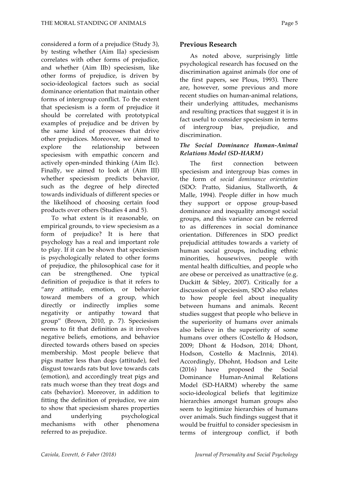considered a form of a prejudice (Study 3), by testing whether (Aim IIa) speciesism correlates with other forms of prejudice, and whether (Aim IIb) speciesism, like other forms of prejudice, is driven by socio-ideological factors such as social dominance orientation that maintain other forms of intergroup conflict. To the extent that speciesism is a form of prejudice it should be correlated with prototypical examples of prejudice and be driven by the same kind of processes that drive other prejudices. Moreover, we aimed to explore the relationship between speciesism with empathic concern and actively open-minded thinking (Aim IIc). Finally, we aimed to look at (Aim III) whether speciesism predicts behavior, such as the degree of help directed towards individuals of different species or the likelihood of choosing certain food products over others (Studies 4 and 5).

To what extent is it reasonable, on empirical grounds, to view speciesism as a form of prejudice? It is here that psychology has a real and important role to play. If it can be shown that speciesism is psychologically related to other forms of prejudice, the philosophical case for it can be strengthened. One typical definition of prejudice is that it refers to "any attitude, emotion, or behavior toward members of a group, which directly or indirectly implies some negativity or antipathy toward that group" (Brown, 2010, p. 7). Speciesism seems to fit that definition as it involves negative beliefs, emotions, and behavior directed towards others based on species membership. Most people believe that pigs matter less than dogs (attitude), feel disgust towards rats but love towards cats (emotion), and accordingly treat pigs and rats much worse than they treat dogs and cats (behavior). Moreover, in addition to fitting the definition of prejudice, we aim to show that speciesism shares properties and underlying psychological mechanisms with other phenomena referred to as prejudice.

#### **Previous Research**

As noted above, surprisingly little psychological research has focused on the discrimination against animals (for one of the first papers, see Plous, 1993). There are, however, some previous and more recent studies on human-animal relations, their underlying attitudes, mechanisms and resulting practices that suggest it is in fact useful to consider speciesism in terms of intergroup bias, prejudice, and discrimination.

#### *The Social Dominance Human-Animal Relations Model (SD-HARM)*

The first connection between speciesism and intergroup bias comes in the form of *social dominance orientation* (SDO: Pratto, Sidanius, Stallworth, & Malle, 1994). People differ in how much they support or oppose group-based dominance and inequality amongst social groups, and this variance can be referred to as differences in social dominance orientation. Differences in SDO predict prejudicial attitudes towards a variety of human social groups, including ethnic minorities, housewives, people with mental health difficulties, and people who are obese or perceived as unattractive (e.g. Duckitt & Sibley, 2007). Critically for a discussion of speciesism, SDO also relates to how people feel about inequality between humans and animals. Recent studies suggest that people who believe in the superiority of humans over animals also believe in the superiority of some humans over others (Costello & Hodson, 2009; Dhont & Hodson, 2014; Dhont, Hodson, Costello & MacInnis, 2014). Accordingly, Dhohnt, Hodson and Leite (2016) have proposed the Social Dominance Human-Animal Relations Model (SD-HARM) whereby the same socio-ideological beliefs that legitimize hierarchies amongst human groups also seem to legitimize hierarchies of humans over animals. Such findings suggest that it would be fruitful to consider speciesism in terms of intergroup conflict, if both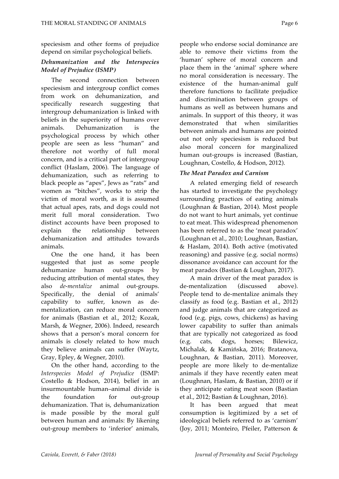speciesism and other forms of prejudice depend on similar psychological beliefs.

#### *Dehumanization and the Interspecies Model of Prejudice (ISMP)*

The second connection between speciesism and intergroup conflict comes from work on dehumanization, and specifically research suggesting that intergroup dehumanization is linked with beliefs in the superiority of humans over animals. Dehumanization is the psychological process by which other people are seen as less "human" and therefore not worthy of full moral concern, and is a critical part of intergroup conflict (Haslam, 2006). The language of dehumanization, such as referring to black people as "apes", Jews as "rats" and women as "bitches", works to strip the victim of moral worth, as it is assumed that actual apes, rats, and dogs could not merit full moral consideration. Two distinct accounts have been proposed to explain the relationship between dehumanization and attitudes towards animals.

One the one hand, it has been suggested that just as some people dehumanize human out-groups by reducing attribution of mental states, they also *de-mentalize* animal out-groups. Specifically, the denial of animals' capability to suffer, known as dementalization, can reduce moral concern for animals (Bastian et al., 2012; Kozak, Marsh, & Wegner, 2006). Indeed, research shows that a person's moral concern for animals is closely related to how much they believe animals can suffer (Waytz, Gray, Epley, & Wegner, 2010).

On the other hand, according to the *Interspecies Model of Prejudice* (ISMP: Costello & Hodson, 2014), belief in an insurmountable human–animal divide is the foundation for out-group dehumanization. That is, dehumanization is made possible by the moral gulf between human and animals: By likening out-group members to 'inferior' animals,

people who endorse social dominance are able to remove their victims from the 'human' sphere of moral concern and place them in the 'animal' sphere where no moral consideration is necessary. The existence of the human-animal gulf therefore functions to facilitate prejudice and discrimination between groups of humans as well as between humans and animals. In support of this theory, it was demonstrated that when similarities between animals and humans are pointed out not only speciesism is reduced but also moral concern for marginalized human out-groups is increased (Bastian, Loughnan, Costello, & Hodson, 2012).

#### *The Meat Paradox and Carnism*

A related emerging field of research has started to investigate the psychology surrounding practices of eating animals (Loughnan & Bastian, 2014). Most people do not want to hurt animals, yet continue to eat meat. This widespread phenomenon has been referred to as the 'meat paradox' (Loughnan et al., 2010; Loughnan, Bastian, & Haslam, 2014). Both active (motivated reasoning) and passive (e.g. social norms) dissonance avoidance can account for the meat paradox (Bastian & Loughan, 2017).

A main driver of the meat paradox is de-mentalization (discussed above). People tend to de-mentalize animals they classify as food (e.g. Bastian et al., 2012) and judge animals that are categorized as food (e.g. pigs, cows, chickens) as having lower capability to suffer than animals that are typically not categorized as food (e.g. cats, dogs, horses; Bilewicz, Michalak, & Kamińska, 2016; Bratanova, Loughnan, & Bastian, 2011). Moreover, people are more likely to de-mentalize animals if they have recently eaten meat (Loughnan, Haslam, & Bastian, 2010) or if they anticipate eating meat soon (Bastian et al., 2012; Bastian & Loughnan, 2016).

It has been argued that meat consumption is legitimized by a set of ideological beliefs referred to as 'carnism' (Joy, 2011; Monteiro, Pfeiler, Patterson &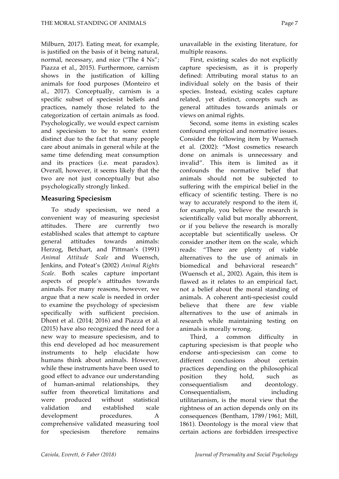Milburn, 2017). Eating meat, for example, is justified on the basis of it being natural, normal, necessary, and nice ("The 4 Ns"; Piazza et al., 2015). Furthermore, carnism shows in the justification of killing animals for food purposes (Monteiro et al., 2017). Conceptually, carnism is a specific subset of speciesist beliefs and practices, namely those related to the categorization of certain animals as food. Psychologically, we would expect carnism and speciesism to be to some extent distinct due to the fact that many people care about animals in general while at the same time defending meat consumption and its practices (i.e. meat paradox). Overall, however, it seems likely that the two are not just conceptually but also psychologically strongly linked.

#### **Measuring Speciesism**

To study speciesism, we need a convenient way of measuring speciesist attitudes. There are currently two established scales that attempt to capture general attitudes towards animals: Herzog, Betchart, and Pittman's (1991) *Animal Attitude Scale* and Wuensch, Jenkins, and Poteat's (2002) *Animal Rights Scale*. Both scales capture important aspects of people's attitudes towards animals. For many reasons, however, we argue that a new scale is needed in order to examine the psychology of speciesism specifically with sufficient precision. Dhont et al. (2014; 2016) and Piazza et al. (2015) have also recognized the need for a new way to measure speciesism, and to this end developed ad hoc measurement instruments to help elucidate how humans think about animals. However, while these instruments have been used to good effect to advance our understanding of human-animal relationships, they suffer from theoretical limitations and were produced without statistical validation and established scale development procedures. A comprehensive validated measuring tool for speciesism therefore remains

unavailable in the existing literature, for multiple reasons.

First, existing scales do not explicitly capture speciesism, as it is properly defined: Attributing moral status to an individual solely on the basis of their species. Instead, existing scales capture related, yet distinct, concepts such as general attitudes towards animals or views on animal rights.

Second, some items in existing scales confound empirical and normative issues. Consider the following item by Wuensch et al. (2002): "Most cosmetics research done on animals is unnecessary and invalid". This item is limited as it confounds the normative belief that animals should not be subjected to suffering with the empirical belief in the efficacy of scientific testing. There is no way to accurately respond to the item if, for example, you believe the research is scientifically valid but morally abhorrent, or if you believe the research is morally acceptable but scientifically useless. Or consider another item on the scale, which reads: "There are plenty of viable alternatives to the use of animals in biomedical and behavioral research" (Wuensch et al., 2002). Again, this item is flawed as it relates to an empirical fact, not a belief about the moral standing of animals. A coherent anti-speciesist could believe that there are few viable alternatives to the use of animals in research while maintaining testing on animals is morally wrong.

Third, a common difficulty in capturing speciesism is that people who endorse anti-speciesism can come to different conclusions about certain practices depending on the philosophical position they hold, such as consequentialism and deontology. Consequentialism, including utilitarianism, is the moral view that the rightness of an action depends only on its consequences (Bentham, 1789/1961; Mill, 1861). Deontology is the moral view that certain actions are forbidden irrespective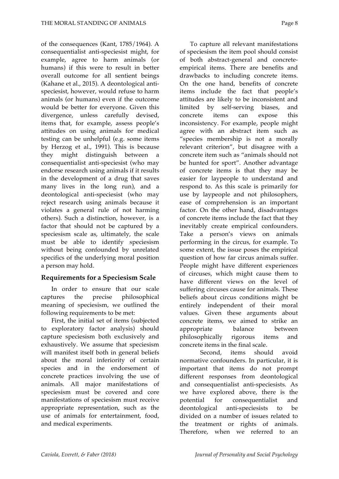of the consequences (Kant, 1785/1964). A consequentialist anti-speciesist might, for example, agree to harm animals (or humans) if this were to result in better overall outcome for all sentient beings (Kahane et al., 2015). A deontological antispeciesist, however, would refuse to harm animals (or humans) even if the outcome would be better for everyone. Given this divergence, unless carefully devised, items that, for example, assess people's attitudes on using animals for medical testing can be unhelpful (e.g. some items by Herzog et al., 1991). This is because they might distinguish between a consequentialist anti-speciesist (who may endorse research using animals if it results in the development of a drug that saves many lives in the long run), and a deontological anti-speciesist (who may reject research using animals because it violates a general rule of not harming others). Such a distinction, however, is a factor that should not be captured by a speciesism scale as, ultimately, the scale must be able to identify speciesism without being confounded by unrelated specifics of the underlying moral position a person may hold.

#### **Requirements for a Speciesism Scale**

In order to ensure that our scale captures the precise philosophical meaning of speciesism, we outlined the following requirements to be met:

First, the initial set of items (subjected to exploratory factor analysis) should capture speciesism both exclusively and exhaustively. We assume that speciesism will manifest itself both in general beliefs about the moral inferiority of certain species and in the endorsement of concrete practices involving the use of animals. All major manifestations of speciesism must be covered and core manifestations of speciesism must receive appropriate representation, such as the use of animals for entertainment, food, and medical experiments.

To capture all relevant manifestations of speciesism the item pool should consist of both abstract-general and concreteempirical items. There are benefits and drawbacks to including concrete items. On the one hand, benefits of concrete items include the fact that people's attitudes are likely to be inconsistent and limited by self-serving biases, and concrete items can expose this inconsistency. For example, people might agree with an abstract item such as "species membership is not a morally relevant criterion", but disagree with a concrete item such as "animals should not be hunted for sport". Another advantage of concrete items is that they may be easier for laypeople to understand and respond to. As this scale is primarily for use by laypeople and not philosophers, ease of comprehension is an important factor. On the other hand, disadvantages of concrete items include the fact that they inevitably create empirical confounders.

Take a person's views on animals performing in the circus, for example. To some extent, the issue poses the empirical question of how far circus animals suffer. People might have different experiences of circuses, which might cause them to have different views on the level of suffering circuses cause for animals. These beliefs about circus conditions might be entirely independent of their moral values. Given these arguments about concrete items, we aimed to strike an appropriate balance between philosophically rigorous items and concrete items in the final scale.

Second, items should avoid normative confounders. In particular, it is important that items do not prompt different responses from deontological and consequentialist anti-speciesists. As we have explored above, there is the potential for consequentialist and deontological anti-speciesists to be divided on a number of issues related to the treatment or rights of animals. Therefore, when we referred to an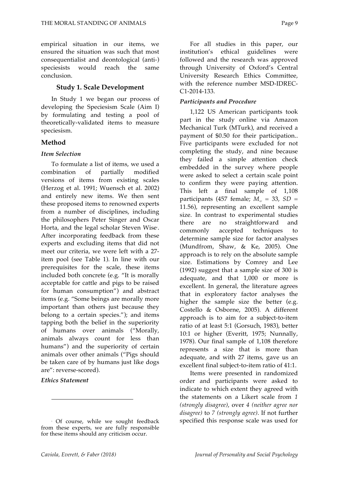empirical situation in our items, we ensured the situation was such that most consequentialist and deontological (anti-) speciesists would reach the same conclusion.

#### **Study 1. Scale Development**

In Study 1 we began our process of developing the Speciesism Scale (Aim I) by formulating and testing a pool of theoretically-validated items to measure speciesism.

#### **Method**

#### *Item Selection*

To formulate a list of items, we used a combination of partially modified versions of items from existing scales (Herzog et al. 1991; Wuensch et al. 2002) and entirely new items. We then sent these proposed items to renowned experts from a number of disciplines, including the philosophers Peter Singer and Oscar Horta, and the legal scholar Steven Wise<sup>.</sup>. After incorporating feedback from these experts and excluding items that did not meet our criteria, we were left with a 27 item pool (see Table 1). In line with our prerequisites for the scale, these items included both concrete (e.g. "It is morally acceptable for cattle and pigs to be raised for human consumption") and abstract items (e.g. "Some beings are morally more important than others just because they belong to a certain species."); and items tapping both the belief in the superiority of humans over animals ("Morally, animals always count for less than humans") and the superiority of certain animals over other animals ("Pigs should be taken care of by humans just like dogs are": reverse-scored).

#### *Ethics Statement*

 $\overline{\phantom{a}}$ 

For all studies in this paper, our institution's ethical guidelines were followed and the research was approved through University of Oxford's Central University Research Ethics Committee, with the reference number MSD-IDREC-C1-2014-133.

#### *Participants and Procedure*

1,122 US American participants took part in the study online via Amazon Mechanical Turk (MTurk), and received a payment of \$0.50 for their participation.. Five participants were excluded for not completing the study, and nine because they failed a simple attention check embedded in the survey where people were asked to select a certain scale point to confirm they were paying attention. This left a final sample of 1,108 participants (457 female;  $M_{av} = 33$ ,  $SD =$ 11.56), representing an excellent sample size. In contrast to experimental studies there are no straightforward and commonly accepted techniques to determine sample size for factor analyses (Mundfrom, Shaw, & Ke, 2005). One approach is to rely on the absolute sample size. Estimations by Comrey and Lee (1992) suggest that a sample size of 300 is adequate, and that 1,000 or more is excellent. In general, the literature agrees that in exploratory factor analyses the higher the sample size the better (e.g. Costello & Osborne, 2005). A different approach is to aim for a subject-to-item ratio of at least 5:1 (Gorsuch, 1983), better 10:1 or higher (Everitt, 1975; Nunnally, 1978). Our final sample of 1,108 therefore represents a size that is more than adequate, and with 27 items, gave us an excellent final subject-to-item ratio of 41:1.

Items were presented in randomized order and participants were asked to indicate to which extent they agreed with the statements on a Likert scale from *1 (strongly disagree)*, over *4 (neither agree nor disagree)* to *7 (strongly agree)*. If not further specified this response scale was used for

<sup>1</sup> Of course, while we sought feedback from these experts, we are fully responsible for these items should any criticism occur.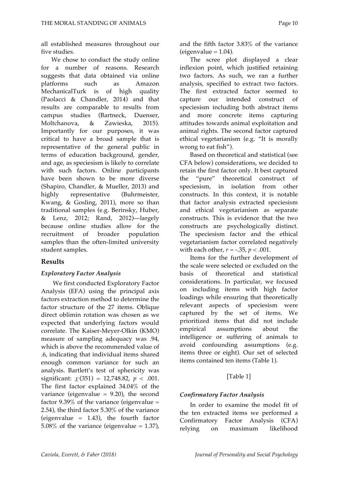all established measures throughout our five studies.

We chose to conduct the study online for a number of reasons. Research suggests that data obtained via online platforms such as Amazon MechanicalTurk is of high quality (Paolacci & Chandler, 2014) and that results are comparable to results from campus studies (Bartneck, Duenser, Moltchanova, & Zawieska, 2015). Importantly for our purposes, it was critical to have a broad sample that is representative of the general public in terms of education background, gender, and age, as speciesism is likely to correlate with such factors. Online participants have been shown to be more diverse (Shapiro, Chandler, & Mueller, 2013) and highly representative (Buhrmeister, Kwang, & Gosling, 2011), more so than traditional samples (e.g. Berinsky, Huber, & Lenz, 2012; Rand, 2012)—largely because online studies allow for the recruitment of broader population samples than the often-limited university student samples.

#### **Results**

#### *Exploratory Factor Analysis*

We first conducted Exploratory Factor Analysis (EFA) using the principal axis factors extraction method to determine the factor structure of the 27 items. Oblique direct oblimin rotation was chosen as we expected that underlying factors would correlate. The Kaiser-Meyer-Olkin (KMO) measure of sampling adequacy was .94, which is above the recommended value of .6, indicating that individual items shared enough common variance for such an analysis. Bartlett's test of sphericity was significant:  $\chi^2(351) = 12,748.82, p < .001$ . The first factor explained 34.04% of the variance (eigenvalue  $= 9.20$ ), the second factor 9.39% of the variance (eigenvalue  $=$ 2.54), the third factor 5.30% of the variance (eigenvalue  $= 1.43$ ), the fourth factor 5.08% of the variance (eigenvalue =  $1.37$ ),

and the fifth factor 3.83% of the variance  $(eigenvalue = 1.04)$ .

The scree plot displayed a clear inflexion point, which justified retaining two factors. As such, we ran a further analysis, specified to extract two factors. The first extracted factor seemed to capture our intended construct of speciesism including both abstract items and more concrete items capturing attitudes towards animal exploitation and animal rights. The second factor captured ethical vegetarianism (e.g. "It is morally wrong to eat fish").

Based on theoretical and statistical (see CFA below) considerations, we decided to retain the first factor only. It best captured the "pure" theoretical construct of speciesism, in isolation from other constructs. In this context, it is notable that factor analysis extracted speciesism and ethical vegetarianism as separate constructs. This is evidence that the two constructs are psychologically distinct. The speciesism factor and the ethical vegetarianism factor correlated negatively with each other, *r* = -.35, *p* < .001.

Items for the further development of the scale were selected or excluded on the basis of theoretical and statistical considerations. In particular, we focused on including items with high factor loadings while ensuring that theoretically relevant aspects of speciesism were captured by the set of items. We prioritized items that did not include empirical assumptions about the intelligence or suffering of animals to avoid confounding assumptions (e.g. items three or eight). Our set of selected items contained ten items (Table 1).

#### [Table 1]

#### *Confirmatory Factor Analysis*

In order to examine the model fit of the ten extracted items we performed a Confirmatory Factor Analysis (CFA) relying on maximum likelihood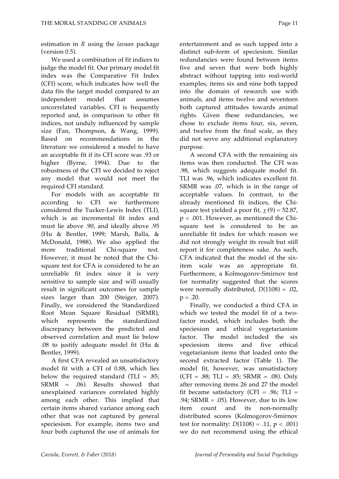estimation in *R* using the *lavaan* package (version 0.5).

We used a combination of fit indices to judge the model fit. Our primary model fit index was the Comparative Fit Index (CFI) score, which indicates how well the data fits the target model compared to an independent model that assumes uncorrelated variables. CFI is frequently reported and, in comparison to other fit indices, not unduly influenced by sample size (Fan, Thompson, & Wang, 1999). Based on recommendations in the literature we considered a model to have an acceptable fit if its CFI score was .93 or higher (Byrne, 1994). Due to the robustness of the CFI we decided to reject any model that would not meet the required CFI standard.

For models with an acceptable fit according to CFI we furthermore considered the Tucker-Lewis Index (TLI), which is an incremental fit index and must lie above .90, and ideally above .95 (Hu & Bentler, 1999; Marsh, Balla, & McDonald, 1988). We also applied the more traditional Chi-square test. However, it must be noted that the Chisquare test for CFA is considered to be an unreliable fit index since it is very sensitive to sample size and will usually result in significant outcomes for sample sizes larger than 200 (Steiger, 2007). Finally, we considered the Standardized Root Mean Square Residual (SRMR), which represents the standardized discrepancy between the predicted and observed correlation and must lie below .08 to justify adequate model fit (Hu & Bentler, 1999).

A first CFA revealed an unsatisfactory model fit with a CFI of 0.88, which lies below the required standard (TLI  $= .85$ ; SRMR = .06). Results showed that unexplained variances correlated highly among each other. This implied that certain items shared variance among each other that was not captured by general speciesism. For example, items two and four both captured the use of animals for entertainment and as such tapped into a distinct sub-form of speciesism. Similar redundancies were found between items five and seven that were both highly abstract without tapping into real-world examples, items six and nine both tapped into the domain of research use with animals, and items twelve and seventeen both captured attitudes towards animal rights. Given these redundancies, we chose to exclude items four, six, seven, and twelve from the final scale, as they did not serve any additional explanatory purpose.

A second CFA with the remaining six items was then conducted. The CFI was .98, which suggests adequate model fit. TLI was .96, which indicates excellent fit. SRMR was .07, which is in the range of acceptable values. In contrast, to the already mentioned fit indices, the Chisquare test yielded a poor fit,  $\chi$ <sup>2</sup>(9) = 52.87, p < .001. However, as mentioned the Chisquare test is considered to be an unreliable fit index for which reason we did not strongly weight its result but still report it for completeness sake. As such, CFA indicated that the model of the sixitem scale was an appropriate fit. Furthermore, a Kolmogorov-Smirnov test for normality suggested that the scores were normally distributed,  $D(1108) = .02$ ,  $p = .20$ .

Finally, we conducted a third CFA in which we tested the model fit of a twofactor model, which includes both the speciesism and ethical vegetarianism factor. The model included the six speciesism items and five ethical vegetarianism items that loaded onto the second extracted factor (Table 1). The model fit, however, was unsatisfactory  $(CFI = .88; TLI = .85; SRMR = .08)$ . Only after removing items 26 and 27 the model fit became satisfactory (CFI = .96; TLI = .94; SRMR = .05). However, due to its low item count and its non-normally distributed scores (Kolmogorov-Smirnov test for normality:  $D(1108) = .11$ ,  $p < .001$ ) we do not recommend using the ethical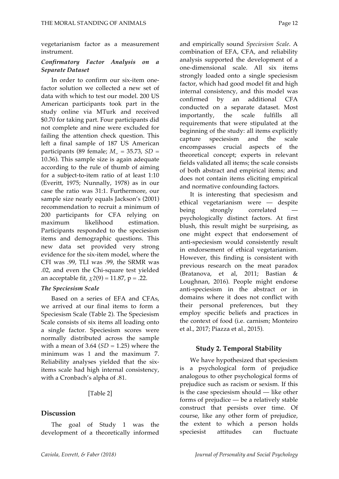vegetarianism factor as a measurement instrument.

#### *Confirmatory Factor Analysis on a Separate Dataset*

In order to confirm our six-item onefactor solution we collected a new set of data with which to test our model. 200 US American participants took part in the study online via MTurk and received \$0.70 for taking part. Four participants did not complete and nine were excluded for failing the attention check question. This left a final sample of 187 US American participants (89 female;  $M_{\text{age}} = 35.73$ ,  $SD =$ 10.36). This sample size is again adequate according to the rule of thumb of aiming for a subject-to-item ratio of at least 1:10 (Everitt, 1975; Nunnally, 1978) as in our case the ratio was 31:1. Furthermore, our sample size nearly equals Jackson's (2001) recommendation to recruit a minimum of 200 participants for CFA relying on maximum likelihood estimation. Participants responded to the speciesism items and demographic questions. This new data set provided very strong evidence for the six-item model, where the CFI was .99, TLI was .99, the SRMR was .02, and even the Chi-square test yielded an acceptable fit,  $\chi$ 2(9) = 11.87, p = .22.

#### *The Speciesism Scale*

Based on a series of EFA and CFAs, we arrived at our final items to form a Speciesism Scale (Table 2). The Speciesism Scale consists of six items all loading onto a single factor. Speciesism scores were normally distributed across the sample with a mean of  $3.64$  ( $SD = 1.25$ ) where the minimum was 1 and the maximum 7. Reliability analyses yielded that the sixitems scale had high internal consistency, with a Cronbach's alpha of .81.

#### [Table 2]

#### **Discussion**

The goal of Study 1 was the development of a theoretically informed and empirically sound *Speciesism Scale*. A combination of EFA, CFA, and reliability analysis supported the development of a one-dimensional scale. All six items strongly loaded onto a single speciesism factor, which had good model fit and high internal consistency, and this model was confirmed by an additional CFA conducted on a separate dataset. Most importantly, the scale fulfills all requirements that were stipulated at the beginning of the study: all items explicitly capture speciesism and the scale encompasses crucial aspects of the theoretical concept; experts in relevant fields validated all items; the scale consists of both abstract and empirical items; and does not contain items eliciting empirical and normative confounding factors.

It is interesting that speciesism and ethical vegetarianism were — despite being strongly correlated psychologically distinct factors. At first blush, this result might be surprising, as one might expect that endorsement of anti-speciesism would consistently result in endorsement of ethical vegetarianism. However, this finding is consistent with previous research on the meat paradox (Bratanova, et al, 2011; Bastian & Loughnan, 2016). People might endorse anti-speciesism in the abstract or in domains where it does not conflict with their personal preferences, but they employ specific beliefs and practices in the context of food (i.e. carnism; Monteiro et al., 2017; Piazza et al., 2015).

#### **Study 2. Temporal Stability**

We have hypothesized that speciesism is a psychological form of prejudice analogous to other psychological forms of prejudice such as racism or sexism. If this is the case speciesism should — like other forms of prejudice — be a relatively stable construct that persists over time. Of course, like any other form of prejudice, the extent to which a person holds speciesist attitudes can fluctuate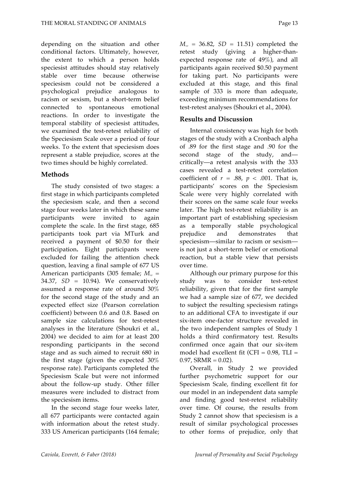depending on the situation and other conditional factors. Ultimately, however, the extent to which a person holds speciesist attitudes should stay relatively stable over time because otherwise speciesism could not be considered a psychological prejudice analogous to racism or sexism, but a short-term belief connected to spontaneous emotional reactions. In order to investigate the temporal stability of speciesist attitudes, we examined the test-retest reliability of the Speciesism Scale over a period of four weeks. To the extent that speciesism does represent a stable prejudice, scores at the two times should be highly correlated.

#### **Methods**

The study consisted of two stages: a first stage in which participants completed the speciesism scale, and then a second stage four weeks later in which these same participants were invited to again complete the scale. In the first stage, 685 participants took part via MTurk and received a payment of \$0.50 for their participation**.** Eight participants were excluded for failing the attention check question, leaving a final sample of 677 US American participants (305 female; *Mage* = 34.37, *SD* = 10.94). We conservatively assumed a response rate of around 30% for the second stage of the study and an expected effect size (Pearson correlation coefficient) between 0.6 and 0.8. Based on sample size calculations for test-retest analyses in the literature (Shoukri et al., 2004) we decided to aim for at least 200 responding participants in the second stage and as such aimed to recruit 680 in the first stage (given the expected 30% response rate). Participants completed the Speciesism Scale but were not informed about the follow-up study. Other filler measures were included to distract from the speciesism items.

In the second stage four weeks later, all 677 participants were contacted again with information about the retest study. 333 US American participants (164 female;

 $M_{\rm{age}}$  = 36.82, *SD* = 11.51) completed the retest study (giving a higher-thanexpected response rate of 49%), and all participants again received \$0.50 payment for taking part. No participants were excluded at this stage, and this final sample of 333 is more than adequate, exceeding minimum recommendations for test-retest analyses (Shoukri et al., 2004).

#### **Results and Discussion**

Internal consistency was high for both stages of the study with a Cronbach alpha of .89 for the first stage and .90 for the second stage of the study, and critically—a retest analysis with the 333 cases revealed a test-retest correlation coefficient of  $r = .88$ ,  $p < .001$ . That is, participants' scores on the Speciesism Scale were very highly correlated with their scores on the same scale four weeks later. The high test-retest reliability is an important part of establishing speciesism as a temporally stable psychological prejudice and demonstrates that speciesism—similar to racism or sexism is not just a short-term belief or emotional reaction, but a stable view that persists over time.

Although our primary purpose for this study was to consider test-retest reliability, given that for the first sample we had a sample size of 677, we decided to subject the resulting speciesism ratings to an additional CFA to investigate if our six-item one-factor structure revealed in the two independent samples of Study 1 holds a third confirmatory test. Results confirmed once again that our six-item model had excellent fit (CFI =  $0.98$ , TLI =  $0.97$ , SRMR =  $0.02$ ).

Overall, in Study 2 we provided further psychometric support for our Speciesism Scale, finding excellent fit for our model in an independent data sample and finding good test-retest reliability over time. Of course, the results from Study 2 cannot show that speciesism is a result of similar psychological processes to other forms of prejudice, only that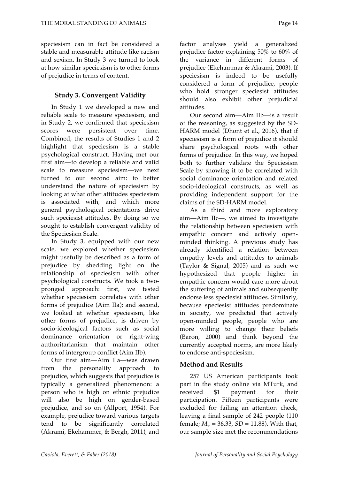speciesism can in fact be considered a stable and measurable attitude like racism and sexism. In Study 3 we turned to look at how similar speciesism is to other forms of prejudice in terms of content.

#### **Study 3. Convergent Validity**

In Study 1 we developed a new and reliable scale to measure speciesism, and in Study 2, we confirmed that speciesism scores were persistent over time. Combined, the results of Studies 1 and 2 highlight that speciesism is a stable psychological construct. Having met our first aim—to develop a reliable and valid scale to measure speciesism—we next turned to our second aim: to better understand the nature of speciesism by looking at what other attitudes speciesism is associated with, and which more general psychological orientations drive such speciesist attitudes. By doing so we sought to establish convergent validity of the Speciesism Scale.

In Study 3, equipped with our new scale, we explored whether speciesism might usefully be described as a form of prejudice by shedding light on the relationship of speciesism with other psychological constructs. We took a twopronged approach: first, we tested whether speciesism correlates with other forms of prejudice (Aim IIa); and second, we looked at whether speciesism, like other forms of prejudice, is driven by socio-ideological factors such as social dominance orientation or right-wing authoritarianism that maintain other forms of intergroup conflict (Aim IIb).

Our first aim—Aim IIa—was drawn from the personality approach to prejudice, which suggests that prejudice is typically a generalized phenomenon: a person who is high on ethnic prejudice will also be high on gender-based prejudice, and so on (Allport, 1954). For example, prejudice toward various targets tend to be significantly correlated (Akrami, Ekehammer, & Bergh, 2011), and

factor analyses yield a generalized prejudice factor explaining 50% to 60% of the variance in different forms of prejudice (Ekehammar & Akrami, 2003). If speciesism is indeed to be usefully considered a form of prejudice, people who hold stronger speciesist attitudes should also exhibit other prejudicial attitudes.

Our second aim—Aim IIb—is a result of the reasoning, as suggested by the SD-HARM model (Dhont et al., 2016), that if speciesism is a form of prejudice it should share psychological roots with other forms of prejudice. In this way, we hoped both to further validate the Speciesism Scale by showing it to be correlated with social dominance orientation and related socio-ideological constructs, as well as providing independent support for the claims of the SD-HARM model.

As a third and more exploratory aim—Aim IIc—, we aimed to investigate the relationship between speciesism with empathic concern and actively openminded thinking. A previous study has already identified a relation between empathy levels and attitudes to animals (Taylor & Signal, 2005) and as such we hypothesized that people higher in empathic concern would care more about the suffering of animals and subsequently endorse less speciesist attitudes. Similarly, because speciesist attitudes predominate in society, we predicted that actively open-minded people, people who are more willing to change their beliefs (Baron, 2000) and think beyond the currently accepted norms, are more likely to endorse anti-speciesism.

#### **Method and Results**

257 US American participants took part in the study online via MTurk, and received \$1 payment for their participation. Fifteen participants were excluded for failing an attention check, leaving a final sample of 242 people (110 female;  $M_{\text{av}} = 36.33$ ,  $SD = 11.88$ ). With that, our sample size met the recommendations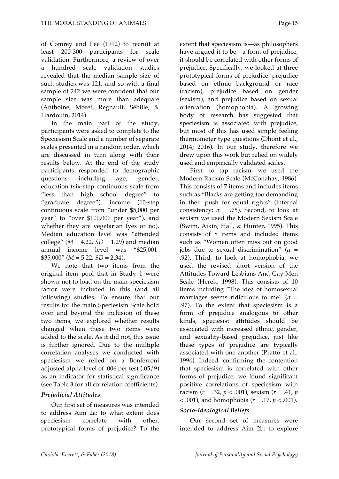of Comrey and Lee (1992) to recruit at least 200-300 participants for scale validation. Furthermore, a review of over a hundred scale validation studies revealed that the median sample size of such studies was 121, and so with a final sample of 242 we were confident that our sample size was more than adequate (Anthoine, Moret, Regnault, Sébille, & Hardouin, 2014).

In the main part of the study, participants were asked to complete to the Speciesism Scale and a number of separate scales presented in a random order, which are discussed in turn along with their results below. At the end of the study participants responded to demographic questions including age, gender, education (six-step continuous scale from "less than high school degree" to "graduate degree"), income (10-step continuous scale from "under \$5,000 per year" to "over \$100,000 per year"), and whether they are vegetarian (yes or no). Median education level was "attended college" ( $M = 4.22$ ,  $SD = 1.29$ ) and median annual income level was "\$25,001-  $$35,000''$  ( $M = 5.22$ ,  $SD = 2.34$ ).

We note that two items from the original item pool that in Study 1 were shown not to load on the main speciesism factor were included in this (and all following) studies. To ensure that our results for the main Speciesism Scale hold over and beyond the inclusion of these two items, we explored whether results changed when these two items were added to the scale. As it did not, this issue is further ignored. Due to the multiple correlation analyses we conducted with speciesism we relied on a Bonferroni adjusted alpha level of .006 per test (.05/9) as an indicator for statistical significance (see Table 3 for all correlation coefficients).

#### *Prejudicial Attitudes*

Our first set of measures was intended to address Aim 2a: to what extent does speciesism correlate with other, prototypical forms of prejudice? To the extent that speciesism is—as philosophers have argued it to be—a form of prejudice, it should be correlated with other forms of prejudice. Specifically, we looked at three prototypical forms of prejudice: prejudice based on ethnic background or race (racism), prejudice based on gender (sexism), and prejudice based on sexual orientation (homophobia). A growing body of research has suggested that speciesism is associated with prejudice, but most of this has used simple feeling thermometer type questions (Dhont et al., 2014; 2016). In our study, therefore we drew upon this work but relied on widely used and empirically validated scales.

First, to tap racism, we used the Modern Racism Scale (McConahay, 1986). This consists of 7 items and includes items such as "Blacks are getting too demanding in their push for equal rights" (internal consistency:  $\alpha = .75$ ). Second, to look at sexism we used the Modern Sexism Scale (Swim, Aikin, Hall, & Hunter, 1995). This consists of 8 items and included items such as "Women often miss out on good jobs due to sexual discrimination" ( $\alpha$  = .92). Third, to look at homophobia, we used the revised short version of the Attitudes Toward Lesbians And Gay Men Scale (Herek, 1998). This consists of 10 items including "The idea of homosexual marriages seems ridiculous to me<sup>"</sup> ( $\alpha$  = .97). To the extent that speciesism is a form of prejudice analogous to other kinds, speciesist attitudes should be associated with increased ethnic, gender, and sexuality-based prejudice, just like these types of prejudice are typically associated with one another (Pratto et al., 1994). Indeed, confirming the contention that speciesism is correlated with other forms of prejudice, we found significant positive correlations of speciesism with racism ( $r = .32$ ,  $p < .001$ ), sexism ( $r = .41$ ,  $p$ ) < .001), and homophobia (*r* = .17, *p* < .001).

#### *Socio-Ideological Beliefs*

Our second set of measures were intended to address Aim 2b: to explore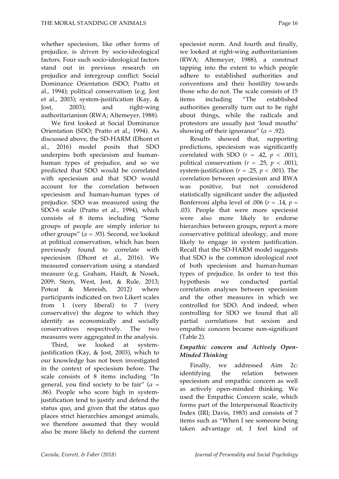whether speciesism, like other forms of prejudice, is driven by socio-ideological factors. Four such socio-ideological factors stand out in previous research on prejudice and intergroup conflict: Social Dominance Orientation (SDO; Pratto et al., 1994); political conservatism (e.g. Jost et al., 2003); system-justification (Kay, & Jost, 2003); and right-wing authoritarianism (RWA; Altemeyer, 1988).

We first looked at Social Dominance Orientation (SDO; Pratto et al., 1994). As discussed above, the SD-HARM (Dhont et al., 2016) model posits that SDO underpins both speciesism and humanhuman types of prejudice, and so we predicted that SDO would be correlated with speciesism and that SDO would account for the correlation between speciesism and human-human types of prejudice. SDO was measured using the SDO-6 scale (Pratto et al., 1994), which consists of 8 items including "Some groups of people are simply inferior to other groups" ( $\alpha$  = .93). Second, we looked at political conservatism, which has been previously found to correlate with speciesism (Dhont et al., 2016). We measured conservatism using a standard measure (e.g. Graham, Haidt, & Nosek, 2009; Stern, West, Jost, & Rule, 2013; Poteat & Mereish, 2012) where participants indicated on two Likert scales from 1 (very liberal) to 7 (very conservative) the degree to which they identify as economically and socially conservatives respectively. The two measures were aggregated in the analysis.

Third, we looked at systemjustification (Kay, & Jost, 2003), which to our knowledge has not been investigated in the context of speciesism before. The scale consists of 8 items including "In general, you find society to be fair" (*α* = .86). People who score high in systemjustification tend to justify and defend the status quo, and given that the status quo places strict hierarchies amongst animals, we therefore assumed that they would also be more likely to defend the current speciesist norm. And fourth and finally, we looked at right-wing authoritarianism (RWA; Altemeyer, 1988), a construct tapping into the extent to which people adhere to established authorities and conventions and their hostility towards those who do not. The scale consists of 15 items including "The established authorities generally turn out to be right about things, while the radicals and protestors are usually just 'loud mouths' showing off their ignorance"  $(\alpha = .92)$ .

Results showed that, supporting predictions, speciesism was significantly correlated with SDO  $(r = .42, p < .001)$ , political conservatism  $(r = .25, p < .001)$ , system-justification ( $r = .25$ ,  $p < .001$ ). The correlation between speciesism and RWA was positive, but not considered statistically significant under the adjusted Bonferroni alpha level of .006 ( $r = .14$ ,  $p =$ .03). People that were more speciesist were also more likely to endorse hierarchies between groups, report a more conservative political ideology, and more likely to engage in system justification. Recall that the SD-HARM model suggests that SDO is the common ideological root of both speciesism and human-human types of prejudice. In order to test this hypothesis we conducted partial correlation analyses between speciesism and the other measures in which we controlled for SDO. And indeed, when controlling for SDO we found that all partial correlations but sexism and empathic concern became non-significant (Table 2).

#### *Empathic concern and Actively Open-Minded Thinking*

Finally, we addressed Aim 2c: identifying the relation between speciesism and empathic concern as well as actively open-minded thinking. We used the Empathic Concern scale, which forms part of the Interpersonal Reactivity Index (IRI; Davis, 1983) and consists of 7 items such as "When I see someone being taken advantage of, I feel kind of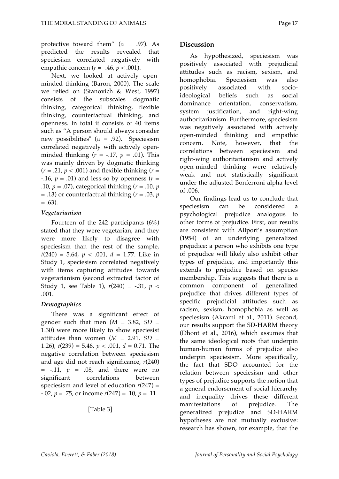protective toward them"  $(\alpha = .97)$ . As predicted the results revealed that speciesism correlated negatively with empathic concern  $(r = -.46, p < .001)$ .

Next, we looked at actively openminded thinking (Baron, 2000). The scale we relied on (Stanovich & West, 1997) consists of the subscales dogmatic thinking, categorical thinking, flexible thinking, counterfactual thinking, and openness. In total it consists of 40 items such as "A person should always consider new possibilities" (*α* = .92). Speciesism correlated negatively with actively openminded thinking  $(r = -.17, p = .01)$ . This was mainly driven by dogmatic thinking  $(r = .21, p < .001)$  and flexible thinking  $(r =$ -.16,  $p = .01$ ) and less so by openness ( $r =$ .10,  $p = .07$ ), categorical thinking  $(r = .10, p)$ = .13) or counterfactual thinking (*r* = .03, *p*  $= .63$ ).

#### *Vegetarianism*

Fourteen of the 242 participants (6%) stated that they were vegetarian, and they were more likely to disagree with speciesism than the rest of the sample,  $t(240) = 5.64$ ,  $p < .001$ ,  $d = 1.77$ . Like in Study 1, speciesism correlated negatively with items capturing attitudes towards vegetarianism (second extracted factor of Study 1, see Table 1),  $r(240) = -.31$ ,  $p <$ .001.

#### *Demographics*

There was a significant effect of gender such that men  $(M = 3.82, SD =$ 1.30) were more likely to show speciesist attitudes than women  $(M = 2.91, SD =$ 1.26),  $t(239) = 5.46$ ,  $p < .001$ ,  $d = 0.71$ . The negative correlation between speciesism and age did not reach significance, *r*(240)  $= -.11$ ,  $p = .08$ , and there were no significant correlations between speciesism and level of education  $r(247)$  = -.02, *p* = .75, or income *r*(247) = .10, *p* = .11.

[Table 3]

#### **Discussion**

As hypothesized, speciesism was positively associated with prejudicial attitudes such as racism, sexism, and homophobia. Speciesism was also positively associated with socioideological beliefs such as social dominance orientation, conservatism, system justification, and right-wing authoritarianism. Furthermore, speciesism was negatively associated with actively open-minded thinking and empathic concern. Note, however, that the correlations between speciesism and right-wing authoritarianism and actively open-minded thinking were relatively weak and not statistically significant under the adjusted Bonferroni alpha level of .006.

Our findings lead us to conclude that speciesism can be considered a psychological prejudice analogous to other forms of prejudice. First, our results are consistent with Allport's assumption (1954) of an underlying generalized prejudice: a person who exhibits one type of prejudice will likely also exhibit other types of prejudice, and importantly this extends to prejudice based on species membership. This suggests that there is a common component of generalized prejudice that drives different types of specific prejudicial attitudes such as racism, sexism, homophobia as well as speciesism (Akrami et al., 2011). Second, our results support the SD-HARM theory (Dhont et al., 2016), which assumes that the same ideological roots that underpin human-human forms of prejudice also underpin speciesism. More specifically, the fact that SDO accounted for the relation between speciesism and other types of prejudice supports the notion that a general endorsement of social hierarchy and inequality drives these different manifestations of prejudice. The generalized prejudice and SD-HARM hypotheses are not mutually exclusive: research has shown, for example, that the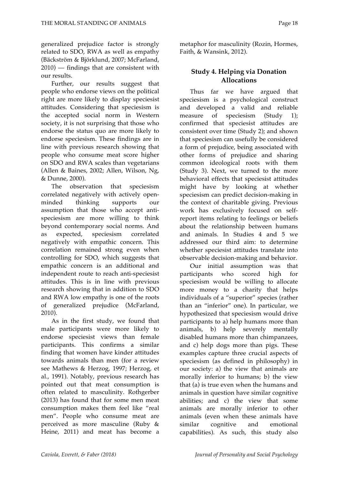generalized prejudice factor is strongly related to SDO, RWA as well as empathy (Bäckström & Björklund, 2007; McFarland, 2010) — findings that are consistent with our results.

Further, our results suggest that people who endorse views on the political right are more likely to display speciesist attitudes. Considering that speciesism is the accepted social norm in Western society, it is not surprising that those who endorse the status quo are more likely to endorse speciesism. These findings are in line with previous research showing that people who consume meat score higher on SDO and RWA scales than vegetarians (Allen & Baines, 2002; Allen, Wilson, Ng, & Dunne, 2000).

The observation that speciesism correlated negatively with actively openminded thinking supports our assumption that those who accept antispeciesism are more willing to think beyond contemporary social norms. And as expected, speciesism correlated negatively with empathic concern. This correlation remained strong even when controlling for SDO, which suggests that empathic concern is an additional and independent route to reach anti-speciesist attitudes. This is in line with previous research showing that in addition to SDO and RWA low empathy is one of the roots of generalized prejudice (McFarland, 2010).

As in the first study, we found that male participants were more likely to endorse speciesist views than female participants. This confirms a similar finding that women have kinder attitudes towards animals than men (for a review see Mathews & Herzog, 1997; Herzog, et al., 1991). Notably, previous research has pointed out that meat consumption is often related to masculinity. Rothgerber (2013) has found that for some men meat consumption makes them feel like "real men". People who consume meat are perceived as more masculine (Ruby & Heine, 2011) and meat has become a

metaphor for masculinity (Rozin, Hormes, Faith, & Wansink, 2012).

#### **Study 4. Helping via Donation Allocations**

Thus far we have argued that speciesism is a psychological construct and developed a valid and reliable measure of speciesism (Study 1); confirmed that speciesist attitudes are consistent over time (Study 2); and shown that speciesism can usefully be considered a form of prejudice, being associated with other forms of prejudice and sharing common ideological roots with them (Study 3). Next, we turned to the more behavioral effects that speciesist attitudes might have by looking at whether speciesism can predict decision-making in the context of charitable giving. Previous work has exclusively focused on selfreport items relating to feelings or beliefs about the relationship between humans and animals. In Studies 4 and 5 we addressed our third aim: to determine whether speciesist attitudes translate into observable decision-making and behavior.

Our initial assumption was that participants who scored high for speciesism would be willing to allocate more money to a charity that helps individuals of a "superior" species (rather than an "inferior" one). In particular, we hypothesized that speciesism would drive participants to a) help humans more than animals, b) help severely mentally disabled humans more than chimpanzees, and c) help dogs more than pigs. These examples capture three crucial aspects of speciesism (as defined in philosophy) in our society: a) the view that animals are morally inferior to humans; b) the view that (a) is true even when the humans and animals in question have similar cognitive abilities; and c) the view that some animals are morally inferior to other animals (even when these animals have similar cognitive and emotional capabilities). As such, this study also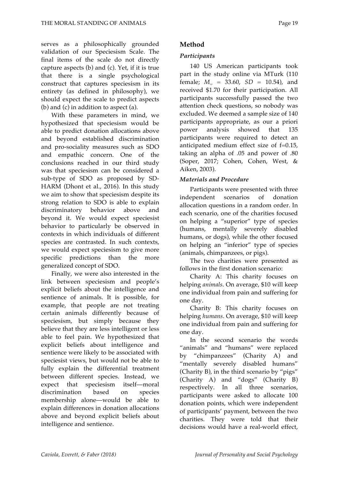serves as a philosophically grounded validation of our Speciesism Scale. The final items of the scale do not directly capture aspects (b) and (c). Yet, if it is true that there is a single psychological construct that captures speciesism in its entirety (as defined in philosophy), we should expect the scale to predict aspects (b) and (c) in addition to aspect (a).

With these parameters in mind, we hypothesized that speciesism would be able to predict donation allocations above and beyond established discrimination and pro-sociality measures such as SDO and empathic concern. One of the conclusions reached in our third study was that speciesism can be considered a sub-type of SDO as proposed by SD-HARM (Dhont et al., 2016). In this study we aim to show that speciesism despite its strong relation to SDO is able to explain discriminatory behavior above and beyond it. We would expect speciesist behavior to particularly be observed in contexts in which individuals of different species are contrasted. In such contexts, we would expect speciesism to give more specific predictions than the more generalized concept of SDO.

Finally, we were also interested in the link between speciesism and people's explicit beliefs about the intelligence and sentience of animals. It is possible, for example, that people are not treating certain animals differently because of speciesism, but simply because they believe that they are less intelligent or less able to feel pain. We hypothesized that explicit beliefs about intelligence and sentience were likely to be associated with speciesist views, but would not be able to fully explain the differential treatment between different species. Instead, we expect that speciesism itself—moral discrimination based on species membership alone—would be able to explain differences in donation allocations above and beyond explicit beliefs about intelligence and sentience.

#### **Method**

#### *Participants*

140 US American participants took part in the study online via MTurk (110 female;  $M_{\text{av}} = 33.60$ ,  $SD = 10.54$ ), and received \$1.70 for their participation. All participants successfully passed the two attention check questions, so nobody was excluded. We deemed a sample size of 140 participants appropriate, as our a priori power analysis showed that 135 participants were required to detect an anticipated medium effect size of f=0.15, taking an alpha of .05 and power of .80 (Soper, 2017; Cohen, Cohen, West, & Aiken, 2003).

#### *Materials and Procedure*

Participants were presented with three independent scenarios of donation allocation questions in a random order. In each scenario, one of the charities focused on helping a "superior" type of species (humans, mentally severely disabled humans, or dogs), while the other focused on helping an "inferior" type of species (animals, chimpanzees, or pigs).

The two charities were presented as follows in the first donation scenario:

Charity A: This charity focuses on helping *animals*. On average, \$10 will keep one individual from pain and suffering for one day.

Charity B: This charity focuses on helping *humans*. On average, \$10 will keep one individual from pain and suffering for one day.

In the second scenario the words "animals" and "humans" were replaced by "chimpanzees" (Charity A) and "mentally severely disabled humans" (Charity B), in the third scenario by "pigs" (Charity A) and "dogs" (Charity B) respectively. In all three scenarios, participants were asked to allocate 100 donation points, which were independent of participants' payment, between the two charities. They were told that their decisions would have a real-world effect,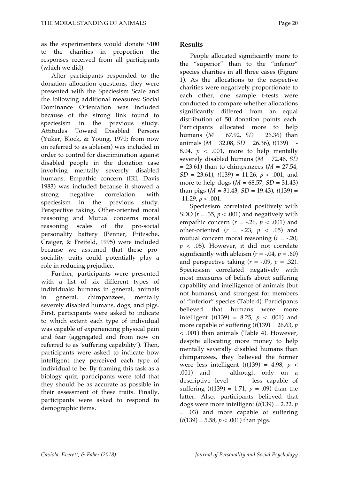as the experimenters would donate \$100 to the charities in proportion the responses received from all participants (which we did).

After participants responded to the donation allocation questions, they were presented with the Speciesism Scale and the following additional measures: Social Dominance Orientation was included because of the strong link found to speciesism in the previous study. Attitudes Toward Disabled Persons (Yuker, Block, & Young, 1970; from now on referred to as ableism) was included in order to control for discrimination against disabled people in the donation case involving mentally severely disabled humans. Empathic concern (IRI; Davis 1983) was included because it showed a strong negative correlation with speciesism in the previous study. Perspective taking, Other-oriented moral reasoning and Mutual concerns moral reasoning scales of the pro-social personality battery (Penner, Fritzsche, Craiger, & Freifeld, 1995) were included because we assumed that these prosociality traits could potentially play a role in reducing prejudice.

Further, participants were presented with a list of six different types of individuals: humans in general, animals in general, chimpanzees, mentally severely disabled humans, dogs, and pigs. First, participants were asked to indicate to which extent each type of individual was capable of experiencing physical pain and fear (aggregated and from now on referred to as 'suffering capability'). Then, participants were asked to indicate how intelligent they perceived each type of individual to be. By framing this task as a biology quiz, participants were told that they should be as accurate as possible in their assessment of these traits. Finally, participants were asked to respond to demographic items.

#### **Results**

People allocated significantly more to the "superior" than to the "inferior" species charities in all three cases (Figure 1). As the allocations to the respective charities were negatively proportionate to each other, one sample t-tests were conducted to compare whether allocations significantly differed from an equal distribution of 50 donation points each. Participants allocated more to help humans  $(M = 67.92, SD = 26.36)$  than animals (*M* = 32.08, *SD* = 26.36), *t*(139) = - 8.04,  $p < .001$ , more to help mentally severely disabled humans (*M* = 72.46, *SD*  $= 23.61$ ) than to chimpanzees (*M*  $= 27.54$ , *SD* = 23.61), *t*(139) = 11.26, *p* < .001, and more to help dogs ( $M = 68.57$ ,  $SD = 31.43$ ) than pigs  $(M = 31.43, SD = 19.43)$ ,  $t(139) =$  $-11.29, p < .001.$ 

Speciesism correlated positively with SDO ( $r = .35$ ,  $p < .001$ ) and negatively with empathic concern  $(r = -.26, p < .001)$  and other-oriented  $(r = -.23, p < .05)$  and mutual concern moral reasoning (*r* = -.20,  $p < .05$ ). However, it did not correlate significantly with ableism  $(r = -.04, p = .60)$ and perspective taking  $(r = -.09, p = .32)$ . Speciesism correlated negatively with most measures of beliefs about suffering capability and intelligence of animals (but not humans), and strongest for members of "inferior" species (Table 4). Participants believed that humans were more intelligent  $(t(139) = 8.25, p < .001)$  and more capable of suffering  $(t(139) = 26.63, p)$ < .001) than animals (Table 4). However, despite allocating more money to help mentally severally disabled humans than chimpanzees, they believed the former were less intelligent  $(t(139) = 4.98, p <$ .001) and — although only on a descriptive level — less capable of suffering  $(t(139) = 1.71, p = .09)$  than the latter. Also, participants believed that dogs were more intelligent  $(t(139) = 2.22, p$ = .03) and more capable of suffering  $(t(139) = 5.58, p < .001)$  than pigs.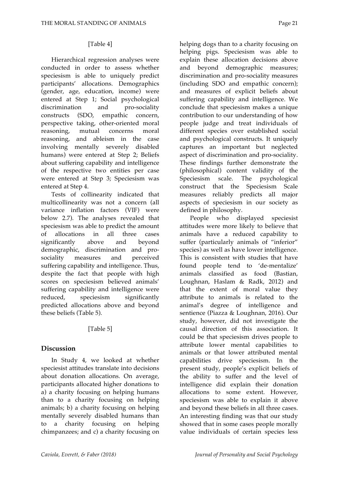#### [Table 4]

Hierarchical regression analyses were conducted in order to assess whether speciesism is able to uniquely predict participants' allocations. Demographics (gender, age, education, income) were entered at Step 1; Social psychological discrimination and pro-sociality constructs (SDO, empathic concern, perspective taking, other-oriented moral reasoning, mutual concerns moral reasoning, and ableism in the case involving mentally severely disabled humans) were entered at Step 2; Beliefs about suffering capability and intelligence of the respective two entities per case were entered at Step 3; Speciesism was entered at Step 4.

Tests of collinearity indicated that multicollinearity was not a concern (all variance inflation factors (VIF) were below 2.7). The analyses revealed that speciesism was able to predict the amount of allocations in all three cases significantly above and beyond demographic, discrimination and prosociality measures and perceived suffering capability and intelligence. Thus, despite the fact that people with high scores on speciesism believed animals' suffering capability and intelligence were reduced, speciesism significantly predicted allocations above and beyond these beliefs (Table 5).

#### [Table 5]

#### **Discussion**

In Study 4, we looked at whether speciesist attitudes translate into decisions about donation allocations. On average, participants allocated higher donations to a) a charity focusing on helping humans than to a charity focusing on helping animals; b) a charity focusing on helping mentally severely disabled humans than to a charity focusing on helping chimpanzees; and c) a charity focusing on helping pigs. Speciesism was able to explain these allocation decisions above and beyond demographic measures; discrimination and pro-sociality measures (including SDO and empathic concern); and measures of explicit beliefs about suffering capability and intelligence. We conclude that speciesism makes a unique contribution to our understanding of how people judge and treat individuals of different species over established social and psychological constructs. It uniquely captures an important but neglected aspect of discrimination and pro-sociality. These findings further demonstrate the (philosophical) content validity of the Speciesism scale. The psychological construct that the Speciesism Scale measures reliably predicts all major aspects of speciesism in our society as defined in philosophy.

People who displayed speciesist attitudes were more likely to believe that animals have a reduced capability to suffer (particularly animals of "inferior" species) as well as have lower intelligence. This is consistent with studies that have found people tend to 'de-mentalize' animals classified as food (Bastian, Loughnan, Haslam & Radk, 2012) and that the extent of moral value they attribute to animals is related to the animal's degree of intelligence and sentience (Piazza & Loughnan, 2016). Our study, however, did not investigate the causal direction of this association. It could be that speciesism drives people to attribute lower mental capabilities to animals or that lower attributed mental capabilities drive speciesism. In the present study, people's explicit beliefs of the ability to suffer and the level of intelligence did explain their donation allocations to some extent. However, speciesism was able to explain it above and beyond these beliefs in all three cases. An interesting finding was that our study showed that in some cases people morally value individuals of certain species less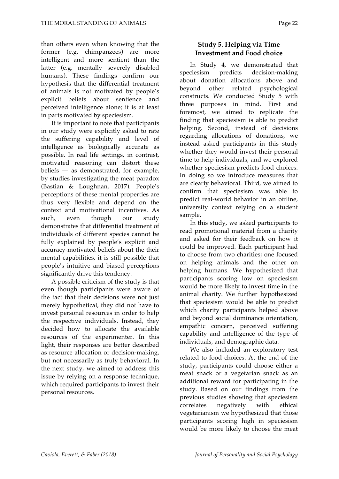than others even when knowing that the former (e.g. chimpanzees) are more intelligent and more sentient than the latter (e.g. mentally severely disabled humans). These findings confirm our hypothesis that the differential treatment of animals is not motivated by people's explicit beliefs about sentience and perceived intelligence alone; it is at least in parts motivated by speciesism.

It is important to note that participants in our study were explicitly asked to rate the suffering capability and level of intelligence as biologically accurate as possible. In real life settings, in contrast, motivated reasoning can distort these beliefs — as demonstrated, for example, by studies investigating the meat paradox (Bastian & Loughnan, 2017). People's perceptions of these mental properties are thus very flexible and depend on the context and motivational incentives. As such, even though our study demonstrates that differential treatment of individuals of different species cannot be fully explained by people's explicit and accuracy-motivated beliefs about the their mental capabilities, it is still possible that people's intuitive and biased perceptions significantly drive this tendency.

A possible criticism of the study is that even though participants were aware of the fact that their decisions were not just merely hypothetical, they did not have to invest personal resources in order to help the respective individuals. Instead, they decided how to allocate the available resources of the experimenter. In this light, their responses are better described as resource allocation or decision-making, but not necessarily as truly behavioral. In the next study, we aimed to address this issue by relying on a response technique, which required participants to invest their personal resources.

#### **Study 5. Helping via Time Investment and Food choice**

In Study 4, we demonstrated that speciesism predicts decision-making about donation allocations above and beyond other related psychological constructs. We conducted Study 5 with three purposes in mind. First and foremost, we aimed to replicate the finding that speciesism is able to predict helping. Second, instead of decisions regarding allocations of donations, we instead asked participants in this study whether they would invest their personal time to help individuals, and we explored whether speciesism predicts food choices. In doing so we introduce measures that are clearly behavioral. Third, we aimed to confirm that speciesism was able to predict real-world behavior in an offline, university context relying on a student sample.

In this study, we asked participants to read promotional material from a charity and asked for their feedback on how it could be improved. Each participant had to choose from two charities; one focused on helping animals and the other on helping humans. We hypothesized that participants scoring low on speciesism would be more likely to invest time in the animal charity. We further hypothesized that speciesism would be able to predict which charity participants helped above and beyond social dominance orientation, empathic concern, perceived suffering capability and intelligence of the type of individuals, and demographic data.

We also included an exploratory test related to food choices. At the end of the study, participants could choose either a meat snack or a vegetarian snack as an additional reward for participating in the study. Based on our findings from the previous studies showing that speciesism correlates negatively with ethical vegetarianism we hypothesized that those participants scoring high in speciesism would be more likely to choose the meat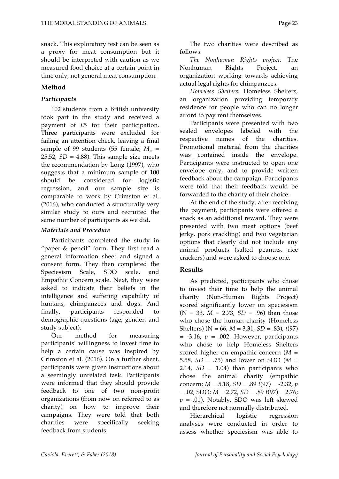snack. This exploratory test can be seen as a proxy for meat consumption but it should be interpreted with caution as we measured food choice at a certain point in time only, not general meat consumption.

#### **Method**

#### *Participants*

102 students from a British university took part in the study and received a payment of £5 for their participation. Three participants were excluded for failing an attention check, leaving a final sample of 99 students (55 female;  $M_{\text{av}} =$ 25.52,  $SD = 4.88$ ). This sample size meets the recommendation by Long (1997), who suggests that a minimum sample of 100 should be considered for logistic regression, and our sample size is comparable to work by Crimston et al. (2016), who conducted a structurally very similar study to ours and recruited the same number of participants as we did.

#### *Materials and Procedure*

Participants completed the study in "paper & pencil" form. They first read a general information sheet and signed a consent form. They then completed the Speciesism Scale, SDO scale, and Empathic Concern scale. Next, they were asked to indicate their beliefs in the intelligence and suffering capability of humans, chimpanzees and dogs. And finally, participants responded to demographic questions (age, gender, and study subject).

Our method for measuring participants' willingness to invest time to help a certain cause was inspired by Crimston et al. (2016). On a further sheet, participants were given instructions about a seemingly unrelated task. Participants were informed that they should provide feedback to one of two non-profit organizations (from now on referred to as charity) on how to improve their campaigns. They were told that both charities were specifically seeking feedback from students.

The two charities were described as follows:

*The Nonhuman Rights project:* The Nonhuman Rights Project, an organization working towards achieving actual legal rights for chimpanzees.

*Homeless Shelters:* Homeless Shelters, an organization providing temporary residence for people who can no longer afford to pay rent themselves.

Participants were presented with two sealed envelopes labeled with the respective names of the charities. Promotional material from the charities was contained inside the envelope. Participants were instructed to open one envelope only, and to provide written feedback about the campaign. Participants were told that their feedback would be forwarded to the charity of their choice.

At the end of the study, after receiving the payment, participants were offered a snack as an additional reward. They were presented with two meat options (beef jerky, pork crackling) and two vegetarian options that clearly did not include any animal products (salted peanuts, rice crackers) and were asked to choose one.

#### **Results**

As predicted, participants who chose to invest their time to help the animal charity (Non-Human Rights Project) scored significantly lower on speciesism  $(N = 33, M = 2.73, SD = .96)$  than those who chose the human charity (Homeless Shelters) (N = 66, *M* = 3.31, *SD* = .83), *t*(97)  $= -3.16$ ,  $p = .002$ . However, participants who chose to help Homeless Shelters scored higher on empathic concern (*M* = 5.58, *SD* = .75) and lower on SDO (*M* = 2.14,  $SD = 1.04$ ) than participants who chose the animal charity (empathic concern: *M* = 5.18, *SD* = .89 *t*(97) = -2.32, *p* = .02, SDO: *M* = 2.72, *SD* = .89 *t*(97) = 2.76;  $p = .01$ ). Notably, SDO was left skewed and therefore not normally distributed.

Hierarchical logistic regression analyses were conducted in order to assess whether speciesism was able to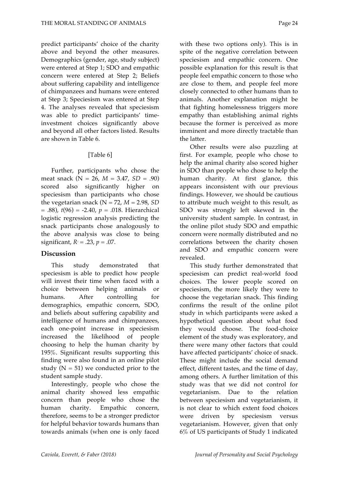predict participants' choice of the charity above and beyond the other measures. Demographics (gender, age, study subject) were entered at Step 1; SDO and empathic concern were entered at Step 2; Beliefs about suffering capability and intelligence of chimpanzees and humans were entered at Step 3; Speciesism was entered at Step 4. The analyses revealed that speciesism was able to predict participants' timeinvestment choices significantly above and beyond all other factors listed. Results are shown in Table 6.

#### [Table 6]

Further, participants who chose the meat snack (N = 26, *M* = 3.47, *SD* = .90) scored also significantly higher on speciesism than participants who chose the vegetarian snack ( $N = 72$ ,  $M = 2.98$ , *SD*  $= .88$ ),  $t(96) = -2.40$ ,  $p = .018$ . Hierarchical logistic regression analysis predicting the snack participants chose analogously to the above analysis was close to being significant,  $R^2 = .23$ ,  $p = .07$ .

#### **Discussion**

This study demonstrated that speciesism is able to predict how people will invest their time when faced with a choice between helping animals or humans. After controlling for demographics, empathic concern, SDO, and beliefs about suffering capability and intelligence of humans and chimpanzees, each one-point increase in speciesism increased the likelihood of people choosing to help the human charity by 195%. Significant results supporting this finding were also found in an online pilot study  $(N = 51)$  we conducted prior to the student sample study.

Interestingly, people who chose the animal charity showed less empathic concern than people who chose the human charity. Empathic concern, therefore, seems to be a stronger predictor for helpful behavior towards humans than towards animals (when one is only faced

with these two options only). This is in spite of the negative correlation between speciesism and empathic concern. One possible explanation for this result is that people feel empathic concern to those who are close to them, and people feel more closely connected to other humans than to animals. Another explanation might be that fighting homelessness triggers more empathy than establishing animal rights because the former is perceived as more imminent and more directly tractable than the latter.

Other results were also puzzling at first. For example, people who chose to help the animal charity also scored higher in SDO than people who chose to help the human charity. At first glance, this appears inconsistent with our previous findings. However, we should be cautious to attribute much weight to this result, as SDO was strongly left skewed in the university student sample. In contrast, in the online pilot study SDO and empathic concern were normally distributed and no correlations between the charity chosen and SDO and empathic concern were revealed.

This study further demonstrated that speciesism can predict real-world food choices. The lower people scored on speciesism, the more likely they were to choose the vegetarian snack. This finding confirms the result of the online pilot study in which participants were asked a hypothetical question about what food they would choose. The food-choice element of the study was exploratory, and there were many other factors that could have affected participants' choice of snack. These might include the social demand effect, different tastes, and the time of day, among others. A further limitation of this study was that we did not control for vegetarianism. Due to the relation between speciesism and vegetarianism, it is not clear to which extent food choices were driven by speciesism versus vegetarianism. However, given that only 6% of US participants of Study 1 indicated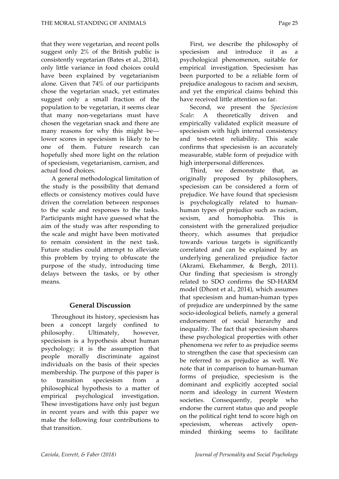that they were vegetarian, and recent polls suggest only 2% of the British public is consistently vegetarian (Bates et al., 2014), only little variance in food choices could have been explained by vegetarianism alone. Given that 74% of our participants chose the vegetarian snack, yet estimates suggest only a small fraction of the population to be vegetarian, it seems clear that many non-vegetarians must have chosen the vegetarian snack and there are many reasons for why this might be lower scores in speciesism is likely to be one of them. Future research can hopefully shed more light on the relation of speciesism, vegetarianism, carnism, and actual food choices.

A general methodological limitation of the study is the possibility that demand effects or consistency motives could have driven the correlation between responses to the scale and responses to the tasks. Participants might have guessed what the aim of the study was after responding to the scale and might have been motivated to remain consistent in the next task. Future studies could attempt to alleviate this problem by trying to obfuscate the purpose of the study, introducing time delays between the tasks, or by other means.

#### **General Discussion**

Throughout its history, speciesism has been a concept largely confined to philosophy. Ultimately, however, speciesism is a hypothesis about human psychology; it is the assumption that people morally discriminate against individuals on the basis of their species membership. The purpose of this paper is to transition speciesism from a philosophical hypothesis to a matter of empirical psychological investigation. These investigations have only just begun in recent years and with this paper we make the following four contributions to that transition.

First, we describe the philosophy of speciesism and introduce it as a psychological phenomenon, suitable for empirical investigation. Speciesism has been purported to be a reliable form of prejudice analogous to racism and sexism, and yet the empirical claims behind this have received little attention so far.

Second, we present the *Speciesism Scale*: A theoretically driven and empirically validated explicit measure of speciesism with high internal consistency and test-retest reliability. This scale confirms that speciesism is an accurately measurable, stable form of prejudice with high interpersonal differences.

Third, we demonstrate that, as originally proposed by philosophers, speciesism can be considered a form of prejudice. We have found that speciesism is psychologically related to humanhuman types of prejudice such as racism, sexism, and homophobia. This is consistent with the generalized prejudice theory, which assumes that prejudice towards various targets is significantly correlated and can be explained by an underlying generalized prejudice factor (Akrami, Ekehammer, & Bergh, 2011). Our finding that speciesism is strongly related to SDO confirms the SD-HARM model (Dhont et al., 2014), which assumes that speciesism and human-human types of prejudice are underpinned by the same socio-ideological beliefs, namely a general endorsement of social hierarchy and inequality. The fact that speciesism shares these psychological properties with other phenomena we refer to as prejudice seems to strengthen the case that speciesism can be referred to as prejudice as well. We note that in comparison to human-human forms of prejudice, speciesism is the dominant and explicitly accepted social norm and ideology in current Western societies. Consequently, people who endorse the current status quo and people on the political right tend to score high on speciesism, whereas actively openminded thinking seems to facilitate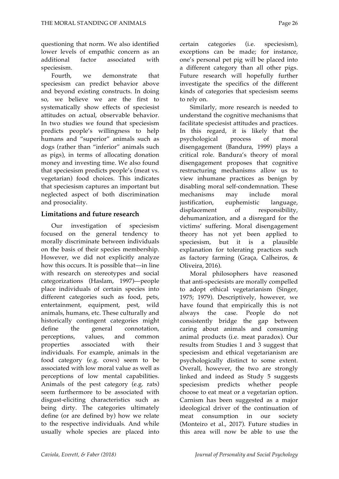questioning that norm. We also identified lower levels of empathic concern as an additional factor associated with speciesism.

Fourth, we demonstrate that speciesism can predict behavior above and beyond existing constructs. In doing so, we believe we are the first to systematically show effects of speciesist attitudes on actual, observable behavior. In two studies we found that speciesism predicts people's willingness to help humans and "superior" animals such as dogs (rather than "inferior" animals such as pigs), in terms of allocating donation money and investing time. We also found that speciesism predicts people's (meat vs. vegetarian) food choices. This indicates that speciesism captures an important but neglected aspect of both discrimination and prosociality.

#### **Limitations and future research**

Our investigation of speciesism focused on the general tendency to morally discriminate between individuals on the basis of their species membership. However, we did not explicitly analyze how this occurs. It is possible that—in line with research on stereotypes and social categorizations (Haslam, 1997)—people place individuals of certain species into different categories such as food, pets, entertainment, equipment, pest, wild animals, humans, etc. These culturally and historically contingent categories might define the general connotation, perceptions, values, and common properties associated with their individuals. For example, animals in the food category (e.g. cows) seem to be associated with low moral value as well as perceptions of low mental capabilities. Animals of the pest category (e.g. rats) seem furthermore to be associated with disgust-eliciting characteristics such as being dirty. The categories ultimately define (or are defined by) how we relate to the respective individuals. And while usually whole species are placed into

certain categories (i.e. speciesism), exceptions can be made; for instance, one's personal pet pig will be placed into a different category than all other pigs. Future research will hopefully further investigate the specifics of the different kinds of categories that speciesism seems to rely on.

Similarly, more research is needed to understand the cognitive mechanisms that facilitate speciesist attitudes and practices. In this regard, it is likely that the psychological process of moral disengagement (Bandura, 1999) plays a critical role. Bandura's theory of moral disengagement proposes that cognitive restructuring mechanisms allow us to view inhumane practices as benign by disabling moral self-condemnation. These mechanisms may include moral justification, euphemistic language, displacement of responsibility, dehumanization, and a disregard for the victims' suffering. Moral disengagement theory has not yet been applied to speciesism, but it is a plausible explanation for tolerating practices such as factory farming (Graça, Calheiros, & Oliveira, 2016).

Moral philosophers have reasoned that anti-speciesists are morally compelled to adopt ethical vegetarianism (Singer, 1975; 1979). Descriptively, however, we have found that empirically this is not always the case. People do not consistently bridge the gap between caring about animals and consuming animal products (i.e. meat paradox). Our results from Studies 1 and 3 suggest that speciesism and ethical vegetarianism are psychologically distinct to some extent. Overall, however, the two are strongly linked and indeed as Study 5 suggests speciesism predicts whether people choose to eat meat or a vegetarian option. Carnism has been suggested as a major ideological driver of the continuation of meat consumption in our society (Monteiro et al., 2017). Future studies in this area will now be able to use the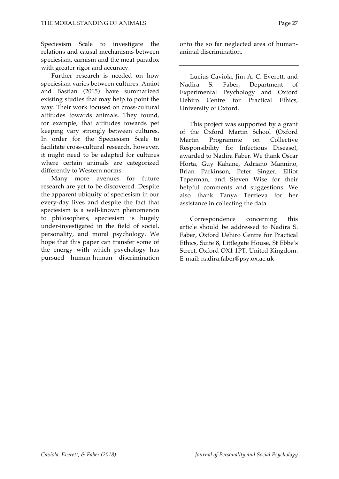Speciesism Scale to investigate the relations and causal mechanisms between speciesism, carnism and the meat paradox with greater rigor and accuracy.

Further research is needed on how speciesism varies between cultures. Amiot and Bastian (2015) have summarized existing studies that may help to point the way. Their work focused on cross-cultural attitudes towards animals. They found, for example, that attitudes towards pet keeping vary strongly between cultures. In order for the Speciesism Scale to facilitate cross-cultural research, however, it might need to be adapted for cultures where certain animals are categorized differently to Western norms.

Many more avenues for future research are yet to be discovered. Despite the apparent ubiquity of speciesism in our every-day lives and despite the fact that speciesism is a well-known phenomenon to philosophers, speciesism is hugely under-investigated in the field of social, personality, and moral psychology. We hope that this paper can transfer some of the energy with which psychology has pursued human-human discrimination onto the so far neglected area of humananimal discrimination.

Lucius Caviola, Jim A. C. Everett, and Nadira S. Faber, Department of Experimental Psychology and Oxford Uehiro Centre for Practical Ethics, University of Oxford.

This project was supported by a grant of the Oxford Martin School (Oxford Martin Programme on Collective Responsibility for Infectious Disease), awarded to Nadira Faber. We thank Oscar Horta, Guy Kahane, Adriano Mannino, Brian Parkinson, Peter Singer, Elliot Teperman, and Steven Wise for their helpful comments and suggestions. We also thank Tanya Terzieva for her assistance in collecting the data.

Correspondence concerning this article should be addressed to Nadira S. Faber, Oxford Uehiro Centre for Practical Ethics, Suite 8, Littlegate House, St Ebbe's Street, Oxford OX1 1PT, United Kingdom. E-mail: nadira.faber@psy.ox.ac.uk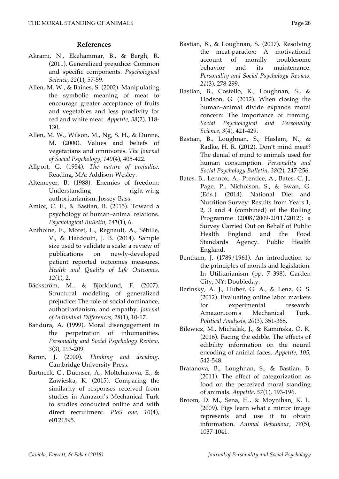#### **References**

- Akrami, N., Ekehammar, B., & Bergh, R. (2011). Generalized prejudice: Common and specific components. *Psychological Science, 22*(1), 57-59.
- Allen, M. W., & Baines, S. (2002). Manipulating the symbolic meaning of meat to encourage greater acceptance of fruits and vegetables and less proclivity for red and white meat. *Appetite*, *38*(2), 118- 130.
- Allen, M. W., Wilson, M., Ng, S. H., & Dunne, M. (2000). Values and beliefs of vegetarians and omnivores. *The Journal of Social Psychology, 140*(4), 405-422.
- Allport, G. (1954). *The nature of prejudice*. Reading, MA: Addison-Wesley.
- Altemeyer, B. (1988). Enemies of freedom: Understanding right-wing authoritarianism. Jossey-Bass.
- Amiot, C. E., & Bastian, B. (2015). Toward a psychology of human–animal relations. *Psychological Bulletin, 141*(1), 6.
- Anthoine, E., Moret, L., Regnault, A., Sébille, V., & Hardouin, J. B. (2014). Sample size used to validate a scale: a review of publications on newly-developed patient reported outcomes measures. *Health and Quality of Life Outcomes, 12*(1), 2.
- Bäckström, M., & Björklund, F. (2007). Structural modeling of generalized prejudice: The role of social dominance, authoritarianism, and empathy. *Journal of Individual Differences, 28*(1), 10-17.
- Bandura, A. (1999). Moral disengagement in the perpetration of inhumanities. *Personality and Social Psychology Review, 3*(3), 193-209.
- Baron, J. (2000). *Thinking and deciding*. Cambridge University Press.
- Bartneck, C., Duenser, A., Moltchanova, E., & Zawieska, K. (2015). Comparing the similarity of responses received from studies in Amazon's Mechanical Turk to studies conducted online and with direct recruitment. *PloS one, 10*(4), e0121595.
- Bastian, B., & Loughnan, S. (2017). Resolving the meat-paradox: A motivational account of morally troublesome behavior and its maintenance. *Personality and Social Psychology Review, 21*(3), 278-299.
- Bastian, B., Costello, K., Loughnan, S., & Hodson, G. (2012). When closing the human–animal divide expands moral concern: The importance of framing. *Social Psychological and Personality Science, 3*(4), 421-429.
- Bastian, B., Loughnan, S., Haslam, N., & Radke, H. R. (2012). Don't mind meat? The denial of mind to animals used for human consumption. *Personality and Social Psychology Bulletin, 38*(2), 247-256.
- Bates, B., Lennox, A., Prentice, A., Bates, C. J., Page, P., Nicholson, S., & Swan, G. (Eds.). (2014). National Diet and Nutrition Survey: Results from Years 1, 2, 3 and 4 (combined) of the Rolling Programme (2008/2009-2011/2012): a Survey Carried Out on Behalf of Public Health England and the Food Standards Agency. Public Health England.
- Bentham, J. (1789/1961). An introduction to the principles of morals and legislation. In Utilitarianism (pp. 7–398). Garden City, NY: Doubleday.
- Berinsky, A. J., Huber, G. A., & Lenz, G. S. (2012). Evaluating online labor markets for experimental research: Amazon.com's Mechanical Turk. *Political Analysis, 20*(3), 351-368.
- Bilewicz, M., Michalak, J., & Kamińska, O. K. (2016). Facing the edible. The effects of edibility information on the neural encoding of animal faces. *Appetite, 105*, 542-548.
- Bratanova, B., Loughnan, S., & Bastian, B. (2011). The effect of categorization as food on the perceived moral standing of animals. *Appetite, 57*(1), 193-196.
- Broom, D. M., Sena, H., & Moynihan, K. L. (2009). Pigs learn what a mirror image represents and use it to obtain information. *Animal Behaviour, 78*(5), 1037-1041.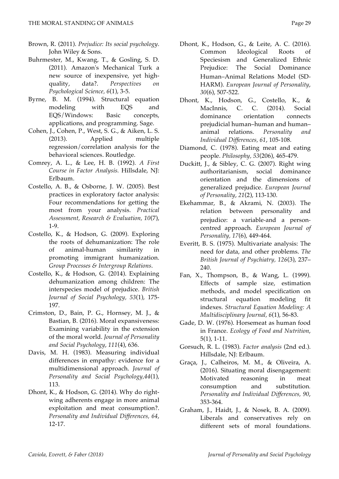- Brown, R. (2011). *Prejudice: Its social psychology*. John Wiley & Sons.
- Buhrmester, M., Kwang, T., & Gosling, S. D. (2011). Amazon's Mechanical Turk a new source of inexpensive, yet highquality, data?. *Perspectives on Psychological Science, 6*(1), 3-5.
- Byrne, B. M. (1994). Structural equation modeling with EQS and EQS/Windows: Basic concepts, applications, and programming. Sage.
- Cohen, J., Cohen, P., West, S. G., & Aiken, L. S. (2013). Applied multiple regression/correlation analysis for the behavioral sciences. Routledge.
- Comrey, A. L., & Lee, H. B. (1992). *A First Course in Factor Analysis.* Hillsdale, NJ: Erlbaum.
- Costello, A. B., & Osborne, J. W. (2005). Best practices in exploratory factor analysis: Four recommendations for getting the most from your analysis. *Practical Assessment, Research & Evaluation, 10*(7), 1-9.
- Costello, K., & Hodson, G. (2009). Exploring the roots of dehumanization: The role of animal-human similarity in promoting immigrant humanization. *Group Processes & Intergroup Relations*.
- Costello, K., & Hodson, G. (2014). Explaining dehumanization among children: The interspecies model of prejudice. *British Journal of Social Psychology, 53*(1), 175- 197.
- Crimston, D., Bain, P. G., Hornsey, M. J., & Bastian, B. (2016). Moral expansiveness: Examining variability in the extension of the moral world. *Journal of Personality and Social Psychology*, *111*(4), 636.
- Davis, M. H. (1983). Measuring individual differences in empathy: evidence for a multidimensional approach. *Journal of Personality and Social Psychology,44*(1), 113.
- Dhont, K., & Hodson, G. (2014). Why do rightwing adherents engage in more animal exploitation and meat consumption?. *Personality and Individual Differences, 64*, 12-17.
- Dhont, K., Hodson, G., & Leite, A. C. (2016). Common Ideological Roots of Speciesism and Generalized Ethnic Prejudice: The Social Dominance Human–Animal Relations Model (SD-HARM). *European Journal of Personality*, *30*(6), 507-522.
- Dhont, K., Hodson, G., Costello, K., & MacInnis, C. C. (2014). Social dominance orientation connects prejudicial human–human and human– animal relations. *Personality and Individual Differences, 61*, 105-108.
- Diamond, C. (1978). Eating meat and eating people. *Philosophy, 53*(206), 465-479.
- Duckitt, J., & Sibley, C. G. (2007). Right wing authoritarianism, social dominance orientation and the dimensions of generalized prejudice. *European Journal of Personality*, *21*(2), 113-130.
- Ekehammar, B., & Akrami, N. (2003). The relation between personality and prejudice: a variable-and a personcentred approach*. European Journal of Personality, 17*(6), 449-464.
- Everitt, B. S. (1975). Multivariate analysis: The need for data, and other problems. *The British Journal of Psychiatry, 126*(3), 237– 240.
- Fan, X., Thompson, B., & Wang, L. (1999). Effects of sample size, estimation methods, and model specification on structural equation modeling fit indexes. *Structural Equation Modeling: A Multidisciplinary Journal, 6*(1), 56-83.
- Gade, D. W. (1976). Horsemeat as human food in France. *Ecology of Food and Nutrition*, 5(1), 1-11.
- Gorsuch, R. L. (1983). *Factor analysis* (2nd ed.). Hillsdale, NJ: Erlbaum.
- Graça, J., Calheiros, M. M., & Oliveira, A. (2016). Situating moral disengagement: Motivated reasoning in meat consumption and substitution*. Personality and Individual Differences, 90*, 353-364.
- Graham, J., Haidt, J., & Nosek, B. A. (2009). Liberals and conservatives rely on different sets of moral foundations.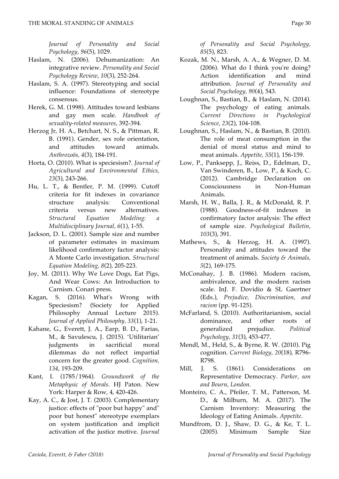*Journal of Personality and Social Psychology, 96*(5), 1029.

- Haslam, N. (2006). Dehumanization: An integrative review. *Personality and Social Psychology Review*, *10*(3), 252-264.
- Haslam, S. A. (1997). Stereotyping and social influence: Foundations of stereotype consensus.
- Herek, G. M. (1998). Attitudes toward lesbians and gay men scale. *Handbook of sexuality-related measures*, 392-394.
- Herzog Jr, H. A., Betchart, N. S., & Pittman, R. B. (1991). Gender, sex role orientation, and attitudes toward animals. *Anthrozoös, 4*(3), 184-191.
- Horta, O. (2010). What is speciesism?. *Journal of Agricultural and Environmental Ethics, 23*(3), 243-266.
- Hu, L. T., & Bentler, P. M. (1999). Cutoff criteria for fit indexes in covariance structure analysis: Conventional criteria versus new alternatives. *Structural Equation Modeling: a Multidisciplinary Journal, 6*(1), 1-55.
- Jackson, D. L. (2001). Sample size and number of parameter estimates in maximum likelihood confirmatory factor analysis: A Monte Carlo investigation. *Structural Equation Modeling, 8*(2), 205-223.
- Joy, M. (2011). Why We Love Dogs, Eat Pigs, And Wear Cows: An Introduction to Carnism. Conari press.
- Kagan, S. (2016). What's Wrong with Speciesism? (Society for Applied Philosophy Annual Lecture 2015). *Journal of Applied Philosophy, 33*(1), 1-21.
- Kahane, G., Everett, J. A., Earp, B. D., Farias, M., & Savulescu, J. (2015). 'Utilitarian' judgments in sacrificial moral dilemmas do not reflect impartial concern for the greater good. *Cognition, 134*, 193-209.
- Kant, I. (1785/1964). *Groundwork of the Metaphysic of Morals*. HJ Paton. New York: Harper & Row, 4, 420-426.
- Kay, A. C., & Jost, J. T. (2003). Complementary justice: effects of "poor but happy" and" poor but honest" stereotype exemplars on system justification and implicit activation of the justice motive. *Journal*

*of Personality and Social Psychology, 85*(5), 823.

- Kozak, M. N., Marsh, A. A., & Wegner, D. M. (2006). What do I think you're doing? Action identification and mind attribution. *Journal of Personality and Social Psychology, 90*(4), 543.
- Loughnan, S., Bastian, B., & Haslam, N. (2014). The psychology of eating animals. *Current Directions in Psychological Science, 23*(2), 104-108.
- Loughnan, S., Haslam, N., & Bastian, B. (2010). The role of meat consumption in the denial of moral status and mind to meat animals. *Appetite, 55*(1), 156-159.
- Low, P., Panksepp, J., Reiss, D., Edelman, D., Van Swinderen, B., Low, P., & Koch, C. (2012). Cambridge Declaration on Consciousness in Non-Human Animals.
- Marsh, H. W., Balla, J. R., & McDonald, R. P. (1988). Goodness-of-fit indexes in confirmatory factor analysis: The effect of sample size. *Psychological Bulletin, 103*(3), 391.
- Mathews, S., & Herzog, H. A. (1997). Personality and attitudes toward the treatment of animals. *Society & Animals, 5*(2), 169-175.
- McConahay, J. B. (1986). Modern racism, ambivalence, and the modern racism scale. InJ. F. Dovidio & SL Gaertner (Eds.), *Prejudice, Discrimination, and racism* (pp. 91-125).
- McFarland, S. (2010). Authoritarianism, social dominance, and other roots of generalized prejudice. *Political Psychology, 31*(3), 453-477.
- Mendl, M., Held, S., & Byrne, R. W. (2010). Pig cognition. *Current Biology, 20*(18), R796- R798.
- Mill, J. S. (1861). Considerations on Representative Democracy. *Parker, son and Bourn, London.*
- Monteiro, C. A., Pfeiler, T. M., Patterson, M. D., & Milburn, M. A. (2017). The Carnism Inventory: Measuring the Ideology of Eating Animals. *Appetite*.
- Mundfrom, D. J., Shaw, D. G., & Ke, T. L. (2005). Minimum Sample Size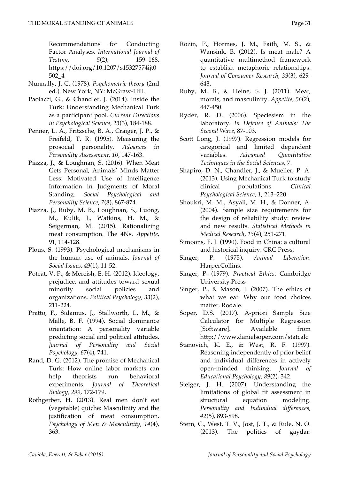Recommendations for Conducting Factor Analyses. *International Journal of Testing*, *5*(2), 159–168. https://doi.org/10.1207/s15327574ijt0 502\_4

- Nunnally, J. C. (1978). *Psychometric theory* (2nd ed.). New York, NY: McGraw-Hill.
- Paolacci, G., & Chandler, J. (2014). Inside the Turk: Understanding Mechanical Turk as a participant pool. *Current Directions in Psychological Science, 23*(3), 184-188.
- Penner, L. A., Fritzsche, B. A., Craiger, J. P., & Freifeld, T. R. (1995). Measuring the prosocial personality. *Advances in Personality Assessment, 10*, 147-163.
- Piazza, J., & Loughnan, S. (2016). When Meat Gets Personal, Animals' Minds Matter Less: Motivated Use of Intelligence Information in Judgments of Moral Standing. *Social Psychological and Personality Science, 7*(8), 867-874.
- Piazza, J., Ruby, M. B., Loughnan, S., Luong, M., Kulik, J., Watkins, H. M., & Seigerman, M. (2015). Rationalizing meat consumption. The 4Ns. *Appetite*, 91, 114-128.
- Plous, S. (1993). Psychological mechanisms in the human use of animals. *Journal of Social Issues, 49*(1), 11-52.
- Poteat, V. P., & Mereish, E. H. (2012). Ideology, prejudice, and attitudes toward sexual minority social policies and organizations. *Political Psychology, 33*(2), 211-224.
- Pratto, F., Sidanius, J., Stallworth, L. M., & Malle, B. F. (1994). Social dominance orientation: A personality variable predicting social and political attitudes. *Journal of Personality and Social Psychology, 67*(4), 741.
- Rand, D. G. (2012). The promise of Mechanical Turk: How online labor markets can help theorists run behavioral experiments. *Journal of Theoretical Biology, 299*, 172-179.
- Rothgerber, H. (2013). Real men don't eat (vegetable) quiche: Masculinity and the justification of meat consumption. *Psychology of Men & Masculinity, 14*(4), 363.
- Rozin, P., Hormes, J. M., Faith, M. S., & Wansink, B. (2012). Is meat male? A quantitative multimethod framework to establish metaphoric relationships. *Journal of Consumer Research, 39*(3), 629- 643.
- Ruby, M. B., & Heine, S. J. (2011). Meat, morals, and masculinity. *Appetite, 56*(2), 447-450.
- Ryder, R. D. (2006). Speciesism in the laboratory. *In Defense of Animals: The Second Wave*, 87-103.
- Scott Long, J. (1997). Regression models for categorical and limited dependent variables. *Advanced Quantitative Techniques in the Social Sciences*, 7.
- Shapiro, D. N., Chandler, J., & Mueller, P. A. (2013). Using Mechanical Turk to study clinical populations. *Clinical Psychological Science, 1*, 213–220.
- Shoukri, M. M., Asyali, M. H., & Donner, A. (2004). Sample size requirements for the design of reliability study: review and new results. *Statistical Methods in Medical Research, 13*(4), 251-271.
- Simoons, F. J. (1990). Food in China: a cultural and historical inquiry. CRC Press.
- Singer, P. (1975). *Animal Liberation*. HarperCollins.
- Singer, P. (1979). *Practical Ethics*. Cambridge University Press
- Singer, P., & Mason, J. (2007). The ethics of what we eat: Why our food choices matter. Rodale.
- Soper, D.S. (2017). A-priori Sample Size Calculator for Multiple Regression [Software]. Available from http://www.danielsoper.com/statcalc
- Stanovich, K. E., & West, R. F. (1997). Reasoning independently of prior belief and individual differences in actively open-minded thinking. *Journal of Educational Psychology, 89*(2), 342.
- Steiger, J. H. (2007). Understanding the limitations of global fit assessment in structural equation modeling. *Personality and Individual differences, 42*(5), 893-898.
- Stern, C., West, T. V., Jost, J. T., & Rule, N. O. (2013). The politics of gaydar: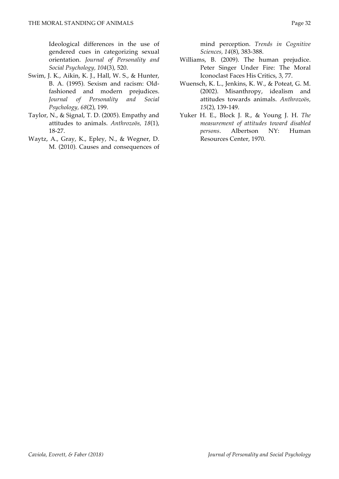Ideological differences in the use of gendered cues in categorizing sexual orientation. *Journal of Personality and Social Psychology, 104*(3), 520.

- Swim, J. K., Aikin, K. J., Hall, W. S., & Hunter, B. A. (1995). Sexism and racism: Oldfashioned and modern prejudices. *Journal of Personality and Social Psychology, 68*(2), 199.
- Taylor, N., & Signal, T. D. (2005). Empathy and attitudes to animals. *Anthrozoös, 18*(1), 18-27.
- Waytz, A., Gray, K., Epley, N., & Wegner, D. M. (2010). Causes and consequences of

mind perception. *Trends in Cognitive Sciences, 14*(8), 383-388.

- Williams, B. (2009). The human prejudice. Peter Singer Under Fire: The Moral Iconoclast Faces His Critics, 3, 77.
- Wuensch, K. L., Jenkins, K. W., & Poteat, G. M. (2002). Misanthropy, idealism and attitudes towards animals. *Anthrozoös, 15*(2), 139-149.
- Yuker H. E., Block J. R., & Young J. H. *The measurement of attitudes toward disabled persons*. Albertson NY: Human Resources Center, 1970.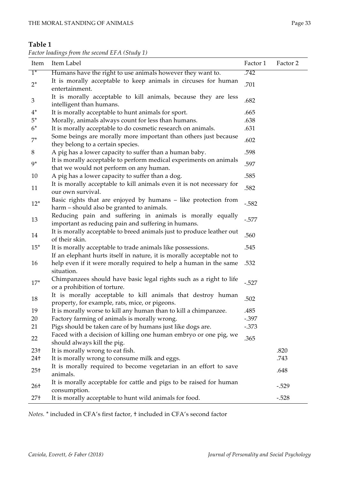| Factor loadings from the second EFA (Study 1) |  |  |
|-----------------------------------------------|--|--|
|-----------------------------------------------|--|--|

| Item            | Item Label                                                                                                       | Factor 1 | Factor 2 |
|-----------------|------------------------------------------------------------------------------------------------------------------|----------|----------|
| $1^*$           | Humans have the right to use animals however they want to.                                                       | .742     |          |
| $2^*$           | It is morally acceptable to keep animals in circuses for human<br>entertainment.                                 | .701     |          |
| $\mathfrak{Z}$  | It is morally acceptable to kill animals, because they are less<br>intelligent than humans.                      | .682     |          |
| $4^*$           | It is morally acceptable to hunt animals for sport.                                                              | .665     |          |
| $5^*$           | Morally, animals always count for less than humans.                                                              | .638     |          |
| $6*$            | It is morally acceptable to do cosmetic research on animals.                                                     | .631     |          |
| $7^*$           | Some beings are morally more important than others just because<br>they belong to a certain species.             | .602     |          |
| 8               | A pig has a lower capacity to suffer than a human baby.                                                          | .598     |          |
| $9*$            | It is morally acceptable to perform medical experiments on animals<br>that we would not perform on any human.    | .597     |          |
| 10              | A pig has a lower capacity to suffer than a dog.                                                                 | .585     |          |
| 11              | It is morally acceptable to kill animals even it is not necessary for<br>our own survival.                       | .582     |          |
| $12*$           | Basic rights that are enjoyed by humans - like protection from<br>harm – should also be granted to animals.      | $-.582$  |          |
| 13              | Reducing pain and suffering in animals is morally equally<br>important as reducing pain and suffering in humans. | $-0.577$ |          |
| 14              | It is morally acceptable to breed animals just to produce leather out<br>of their skin.                          | .560     |          |
| $15*$           | It is morally acceptable to trade animals like possessions.                                                      | .545     |          |
|                 | If an elephant hurts itself in nature, it is morally acceptable not to                                           |          |          |
| 16              | help even if it were morally required to help a human in the same<br>situation.                                  | .532     |          |
| $17*$           | Chimpanzees should have basic legal rights such as a right to life<br>or a prohibition of torture.               | $-.527$  |          |
| 18              | It is morally acceptable to kill animals that destroy human<br>property, for example, rats, mice, or pigeons.    | .502     |          |
| 19              | It is morally worse to kill any human than to kill a chimpanzee.                                                 | .485     |          |
| 20              | Factory farming of animals is morally wrong.                                                                     | $-.397$  |          |
| 21              | Pigs should be taken care of by humans just like dogs are.                                                       | $-0.373$ |          |
| 22              | Faced with a decision of killing one human embryo or one pig, we<br>should always kill the pig.                  | .365     |          |
| $23+$           | It is morally wrong to eat fish.                                                                                 |          | .820     |
| 24†             | It is morally wrong to consume milk and eggs.                                                                    |          | .743     |
| $25+$           | It is morally required to become vegetarian in an effort to save<br>animals.                                     |          | .648     |
| $26+$           | It is morally acceptable for cattle and pigs to be raised for human<br>consumption.                              |          | $-.529$  |
| 27 <sup>†</sup> | It is morally acceptable to hunt wild animals for food.                                                          |          | $-.528$  |

*Notes.* \* included in CFA's first factor, † included in CFA's second factor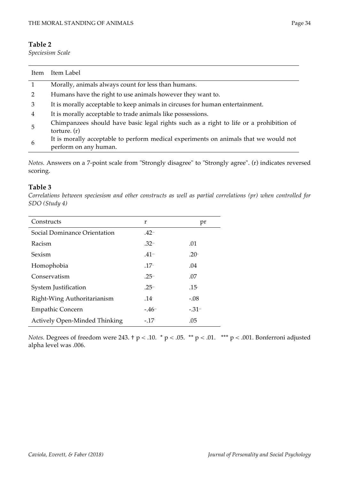*Speciesism Scale*

| Item | Item Label                                                                                                    |
|------|---------------------------------------------------------------------------------------------------------------|
|      | Morally, animals always count for less than humans.                                                           |
|      | Humans have the right to use animals however they want to.                                                    |
| 3    | It is morally acceptable to keep animals in circuses for human entertainment.                                 |
| 4    | It is morally acceptable to trade animals like possessions.                                                   |
| 5    | Chimpanzees should have basic legal rights such as a right to life or a prohibition of<br>torture. $(r)$      |
| 6    | It is morally acceptable to perform medical experiments on animals that we would not<br>perform on any human. |

*Notes.* Answers on a 7-point scale from "Strongly disagree" to "Strongly agree". (r) indicates reversed scoring.

#### **Table 3**

*Correlations between speciesism and other constructs as well as partial correlations (pr) when controlled for SDO (Study 4)*

| Constructs                           | r                   | pr               |
|--------------------------------------|---------------------|------------------|
| Social Dominance Orientation         | $.42 -$             |                  |
| Racism                               | $.32 -$             | .01              |
| Sexism                               | $.41 -$             | $.20^{\circ}$    |
| Homophobia                           | $.17 -$             | .04              |
| Conservatism                         | $.25 -$             | .07              |
| <b>System Justification</b>          | $.25 -$             | .15 <sup>′</sup> |
| Right-Wing Authoritarianism          | .14 <sup>°</sup>    | $-.08$           |
| <b>Empathic Concern</b>              | $-46$ <sup>--</sup> | $-.31 -$         |
| <b>Actively Open-Minded Thinking</b> | $-.17°$             | .05              |

*Notes.* Degrees of freedom were 243. † p < .10. \* p < .05. \*\* p < .01. \*\*\* p < .001. Bonferroni adjusted alpha level was .006.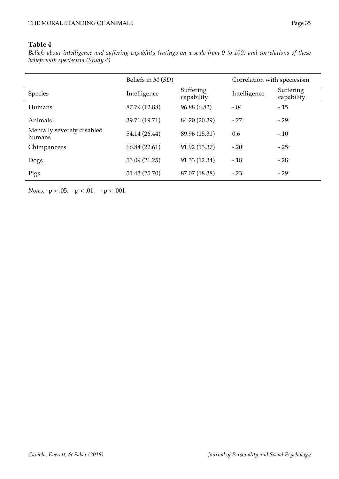*Beliefs about intelligence and suffering capability (ratings on a scale from 0 to 100) and correlations of these beliefs with speciesism (Study 4)*

|                                      | Beliefs in <i>M</i> (SD) |                         | Correlation with speciesism |                                |  |
|--------------------------------------|--------------------------|-------------------------|-----------------------------|--------------------------------|--|
| <b>Species</b>                       | Intelligence             | Suffering<br>capability | Intelligence                | <b>Suffering</b><br>capability |  |
| <b>Humans</b>                        | 87.79 (12.88)            | 96.88 (6.82)            | $-.04$                      | $-15$                          |  |
| Animals                              | 39.71 (19.71)            | 84.20 (20.39)           | $-27$                       | $-.29-$                        |  |
| Mentally severely disabled<br>humans | 54.14 (26.44)            | 89.96 (15.31)           | 0.6                         | $-.10$                         |  |
| Chimpanzees                          | 66.84 (22.61)            | 91.92 (13.37)           | $-.20$                      | $-.25^{\circ}$                 |  |
| Dogs                                 | 55.09 (21.25)            | 91.33 (12.34)           | $-.18$                      | $-.28 -$                       |  |
| Pigs                                 | 51.43 (25.70)            | 87.07 (18.38)           | $-.23$                      | $-.29-$                        |  |

*Notes.*  $\cdot$   $p < .05$ .  $\cdot$   $p < .01$ .  $\cdot$   $p < .001$ .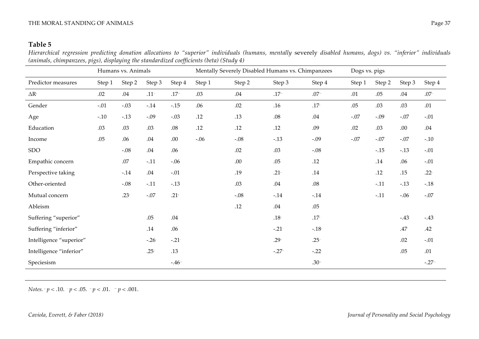*Hierarchical regression predicting donation allocations to "superior" individuals (humans, mentally* severely *disabled humans, dogs) vs. "inferior" individuals (animals, chimpanzees, pigs), displaying the standardized coefficients (beta) (Study 4)*

|                         |        | Humans vs. Animals |         |          | Mentally Severely Disabled Humans vs. Chimpanzees |        | Dogs vs. pigs    |         |        |        |                  |                  |
|-------------------------|--------|--------------------|---------|----------|---------------------------------------------------|--------|------------------|---------|--------|--------|------------------|------------------|
| Predictor measures      | Step 1 | Step 2             | Step 3  | Step 4   | Step 1                                            | Step 2 | Step 3           | Step 4  | Step 1 | Step 2 | Step 3           | Step 4           |
| $\Delta R^2$            | .02    | .04                | $.11 -$ | $.17 -$  | .03                                               | .04    | $.17 -$          | $.07 -$ | .01    | .05    | .04              | $.07 -$          |
| Gender                  | $-.01$ | $-.03$             | $-14$   | $-.15+$  | .06                                               | .02    | .16              | $.17+$  | .05    | .03    | .03              | .01              |
| Age                     | $-.10$ | $-.13$             | $-.09$  | $-.03$   | .12                                               | .13    | .08              | .04     | $-.07$ | $-.09$ | $-.07$           | $-.01$           |
| Education               | .03    | .03                | .03     | $.08\,$  | .12                                               | .12    | .12              | .09     | .02    | .03    | .00.             | $.04\,$          |
| Income                  | .05    | .06                | .04     | .00.     | $-.06$                                            | $-.08$ | $-.13$           | $-.09$  | $-.07$ | $-.07$ | $-.07$           | $-.10$           |
| <b>SDO</b>              |        | $-.08$             | .04     | .06      |                                                   | .02    | .03              | $-.08$  |        | $-.15$ | $-13$            | $-.01$           |
| Empathic concern        |        | .07                | $-.11$  | $-.06$   |                                                   | .00    | .05              | .12     |        | .14    | .06              | $-.01$           |
| Perspective taking      |        | $-.14$             | .04     | $-.01$   |                                                   | .19    | $.21+$           | .14     |        | .12    | .15              | .22 $\cdot$      |
| Other-oriented          |        | $-.08$             | $-.11$  | $-.13$   |                                                   | .03    | .04              | $.08\,$ |        | $-.11$ | $-13$            | $-.18$           |
| Mutual concern          |        | $.23*$             | $-.07$  | $.21 +$  |                                                   | $-.08$ | $-0.14$          | $-0.14$ |        | $-11$  | $-.06$           | $-.07$           |
| Ableism                 |        |                    |         |          |                                                   | .12    | .04              | .05     |        |        |                  |                  |
| Suffering "superior"    |        |                    | .05     | $.04\,$  |                                                   |        | .18 <sup>†</sup> | $.17+$  |        |        | $-43$            | $-.43$           |
| Suffering "inferior"    |        |                    | .14     | .06      |                                                   |        | $-.21$           | $-.18+$ |        |        | .47 <sup>°</sup> | .42 <sup>°</sup> |
| Intelligence "superior" |        |                    | $-26$   | $-0.21$  |                                                   |        | $.29 -$          | $.25 -$ |        |        | .02              | $-.01$           |
| Intelligence "inferior" |        |                    | $.25 -$ | .13      |                                                   |        | $-.27 -$         | $-.22$  |        |        | .05              | .01              |
| Speciesism              |        |                    |         | $-.46 -$ |                                                   |        |                  | $.30 -$ |        |        |                  | $-.27-$          |

*Notes.*  † *p* < .10. \* *p* < .05. \*\* *p* < .01. \*\*\* *p* < .001.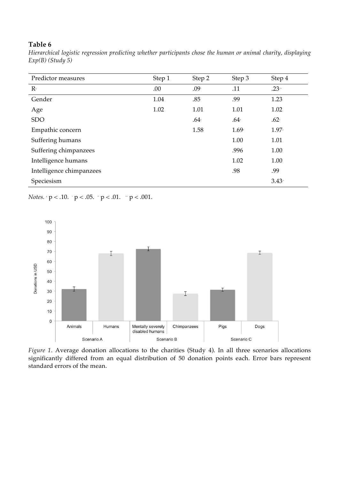*Hierarchical logistic regression predicting whether participants chose the human or animal charity, displaying Exp(B) (Study 5)*

| Predictor measures       | Step 1 | Step 2           | Step 3  | Step 4   |
|--------------------------|--------|------------------|---------|----------|
| $\mathbf{R}^2$           | .00    | .09 <sup>°</sup> | .11     | $.23 -$  |
| Gender                   | 1.04   | .85              | .99     | 1.23     |
| Age                      | 1.02   | 1.01             | 1.01    | 1.02     |
| <b>SDO</b>               |        | $.64+$           | $.64+$  | $.62+$   |
| Empathic concern         |        | 1.58             | $1.69*$ | $1.97*$  |
| Suffering humans         |        |                  | 1.00    | 1.01     |
| Suffering chimpanzees    |        |                  | .996    | 1.00     |
| Intelligence humans      |        |                  | 1.02    | 1.00     |
| Intelligence chimpanzees |        |                  | .98     | .99      |
| Speciesism               |        |                  |         | $3.43 -$ |

*Notes.*  $\cdot$   $p < .10$ .  $\cdot$   $p < .05$ .  $\cdot$   $p < .01$ .  $\cdot$   $p < .001$ .



*Figure 1*. Average donation allocations to the charities (Study 4). In all three scenarios allocations significantly differed from an equal distribution of 50 donation points each. Error bars represent standard errors of the mean.